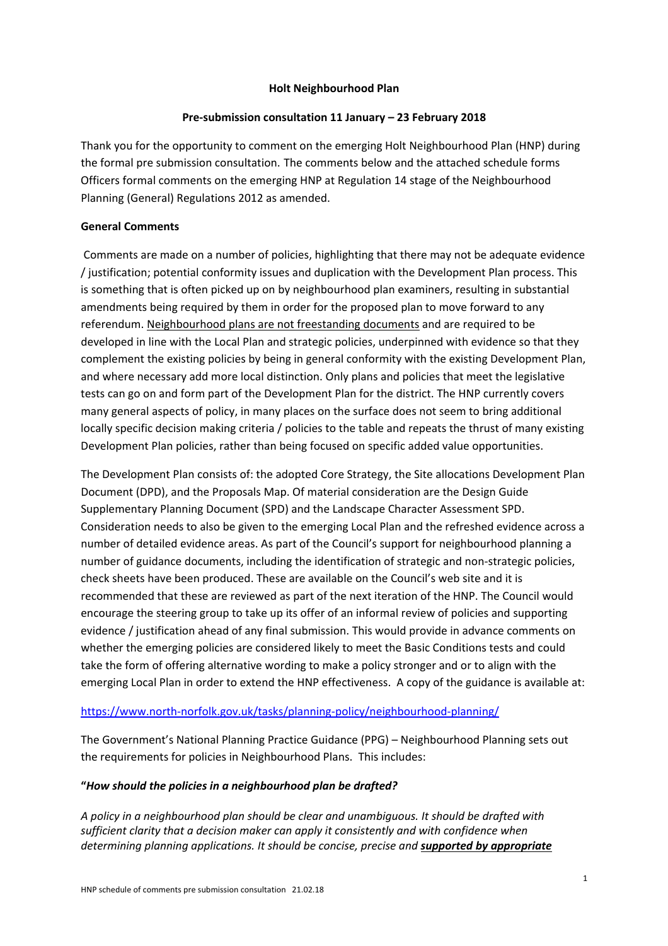#### **Holt Neighbourhood Plan**

#### **Pre‐submission consultation 11 January – 23 February 2018**

Thank you for the opportunity to comment on the emerging Holt Neighbourhood Plan (HNP) during the formal pre submission consultation. The comments below and the attached schedule forms Officers formal comments on the emerging HNP at Regulation 14 stage of the Neighbourhood Planning (General) Regulations 2012 as amended.

#### **General Comments**

Comments are made on a number of policies, highlighting that there may not be adequate evidence / justification; potential conformity issues and duplication with the Development Plan process. This is something that is often picked up on by neighbourhood plan examiners, resulting in substantial amendments being required by them in order for the proposed plan to move forward to any referendum. Neighbourhood plans are not freestanding documents and are required to be developed in line with the Local Plan and strategic policies, underpinned with evidence so that they complement the existing policies by being in general conformity with the existing Development Plan, and where necessary add more local distinction. Only plans and policies that meet the legislative tests can go on and form part of the Development Plan for the district. The HNP currently covers many general aspects of policy, in many places on the surface does not seem to bring additional locally specific decision making criteria / policies to the table and repeats the thrust of many existing Development Plan policies, rather than being focused on specific added value opportunities.

The Development Plan consists of: the adopted Core Strategy, the Site allocations Development Plan Document (DPD), and the Proposals Map. Of material consideration are the Design Guide Supplementary Planning Document (SPD) and the Landscape Character Assessment SPD. Consideration needs to also be given to the emerging Local Plan and the refreshed evidence across a number of detailed evidence areas. As part of the Council's support for neighbourhood planning a number of guidance documents, including the identification of strategic and non‐strategic policies, check sheets have been produced. These are available on the Council's web site and it is recommended that these are reviewed as part of the next iteration of the HNP. The Council would encourage the steering group to take up its offer of an informal review of policies and supporting evidence / justification ahead of any final submission. This would provide in advance comments on whether the emerging policies are considered likely to meet the Basic Conditions tests and could take the form of offering alternative wording to make a policy stronger and or to align with the emerging Local Plan in order to extend the HNP effectiveness. A copy of the guidance is available at:

#### https://www.north-norfolk.gov.uk/tasks/planning-policy/neighbourhood-planning/

The Government's National Planning Practice Guidance (PPG) – Neighbourhood Planning sets out the requirements for policies in Neighbourhood Plans. This includes:

#### **"***How should the policies in a neighbourhood plan be drafted?*

*A policy in a neighbourhood plan should be clear and unambiguous. It should be drafted with sufficient clarity that a decision maker can apply it consistently and with confidence when determining planning applications. It should be concise, precise and supported by appropriate*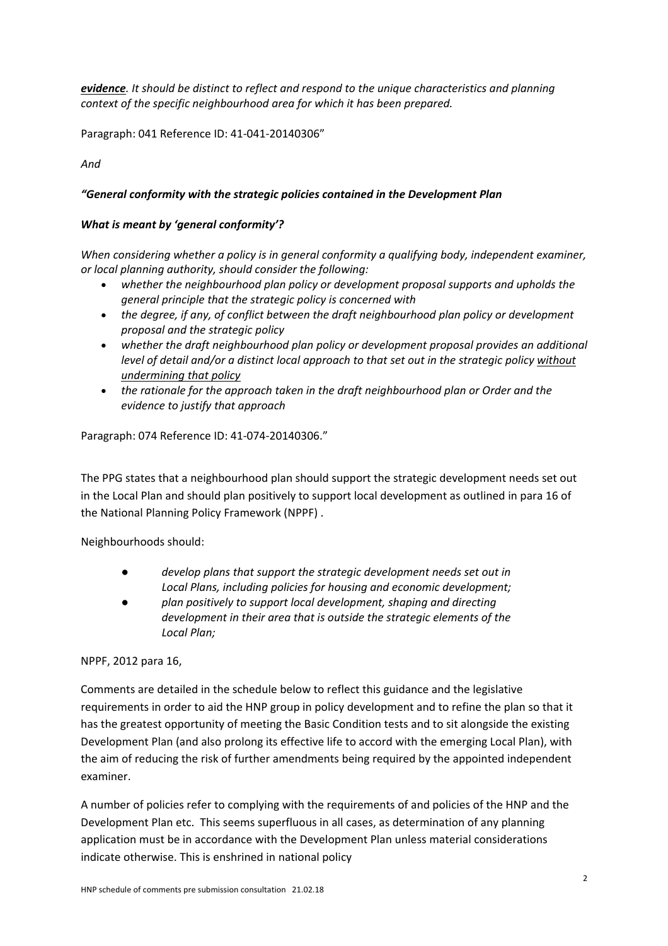*evidence. It should be distinct to reflect and respond to the unique characteristics and planning context of the specific neighbourhood area for which it has been prepared.*

Paragraph: 041 Reference ID: 41‐041‐20140306"

*And* 

## *"General conformity with the strategic policies contained in the Development Plan*

### *What is meant by 'general conformity'?*

*When considering whether a policy is in general conformity a qualifying body, independent examiner, or local planning authority, should consider the following:*

- *whether the neighbourhood plan policy or development proposal supports and upholds the general principle that the strategic policy is concerned with*
- *the degree, if any, of conflict between the draft neighbourhood plan policy or development proposal and the strategic policy*
- *whether the draft neighbourhood plan policy or development proposal provides an additional level of detail and/or a distinct local approach to that set out in the strategic policy without undermining that policy*
- *the rationale for the approach taken in the draft neighbourhood plan or Order and the evidence to justify that approach*

Paragraph: 074 Reference ID: 41‐074‐20140306."

The PPG states that a neighbourhood plan should support the strategic development needs set out in the Local Plan and should plan positively to support local development as outlined in para 16 of the National Planning Policy Framework (NPPF) .

Neighbourhoods should:

- *develop plans that support the strategic development needs set out in Local Plans, including policies for housing and economic development;*
- *plan positively to support local development, shaping and directing development in their area that is outside the strategic elements of the Local Plan;*

NPPF, 2012 para 16,

Comments are detailed in the schedule below to reflect this guidance and the legislative requirements in order to aid the HNP group in policy development and to refine the plan so that it has the greatest opportunity of meeting the Basic Condition tests and to sit alongside the existing Development Plan (and also prolong its effective life to accord with the emerging Local Plan), with the aim of reducing the risk of further amendments being required by the appointed independent examiner.

A number of policies refer to complying with the requirements of and policies of the HNP and the Development Plan etc. This seems superfluous in all cases, as determination of any planning application must be in accordance with the Development Plan unless material considerations indicate otherwise. This is enshrined in national policy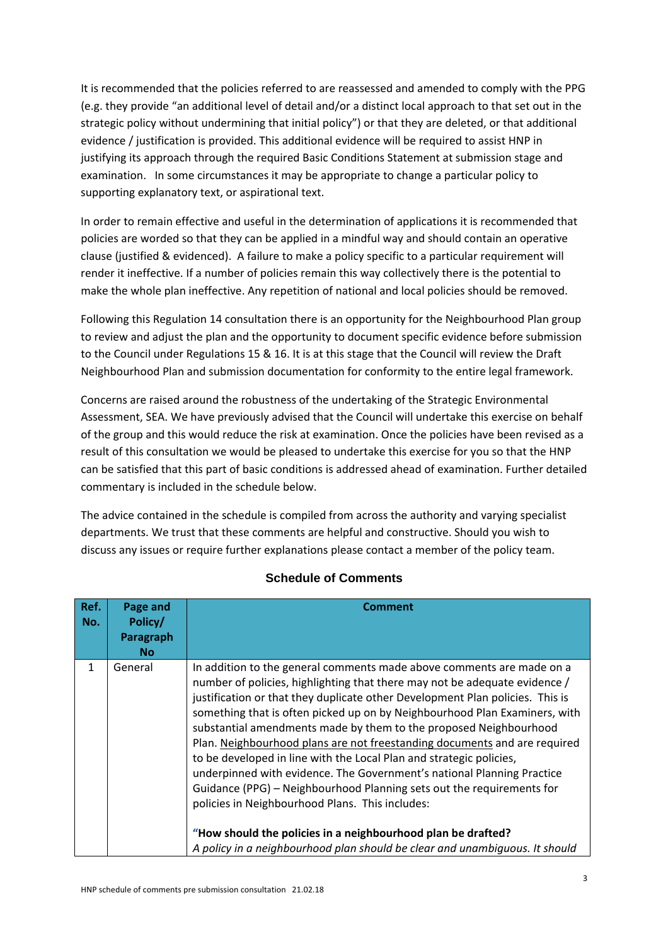It is recommended that the policies referred to are reassessed and amended to comply with the PPG (e.g. they provide "an additional level of detail and/or a distinct local approach to that set out in the strategic policy without undermining that initial policy") or that they are deleted, or that additional evidence / justification is provided. This additional evidence will be required to assist HNP in justifying its approach through the required Basic Conditions Statement at submission stage and examination. In some circumstances it may be appropriate to change a particular policy to supporting explanatory text, or aspirational text.

In order to remain effective and useful in the determination of applications it is recommended that policies are worded so that they can be applied in a mindful way and should contain an operative clause (justified & evidenced). A failure to make a policy specific to a particular requirement will render it ineffective. If a number of policies remain this way collectively there is the potential to make the whole plan ineffective. Any repetition of national and local policies should be removed.

Following this Regulation 14 consultation there is an opportunity for the Neighbourhood Plan group to review and adjust the plan and the opportunity to document specific evidence before submission to the Council under Regulations 15 & 16. It is at this stage that the Council will review the Draft Neighbourhood Plan and submission documentation for conformity to the entire legal framework.

Concerns are raised around the robustness of the undertaking of the Strategic Environmental Assessment, SEA. We have previously advised that the Council will undertake this exercise on behalf of the group and this would reduce the risk at examination. Once the policies have been revised as a result of this consultation we would be pleased to undertake this exercise for you so that the HNP can be satisfied that this part of basic conditions is addressed ahead of examination. Further detailed commentary is included in the schedule below.

The advice contained in the schedule is compiled from across the authority and varying specialist departments. We trust that these comments are helpful and constructive. Should you wish to discuss any issues or require further explanations please contact a member of the policy team.

| Ref.<br>No.  | Page and<br>Policy/<br><b>Paragraph</b><br><b>No</b> | <b>Comment</b>                                                                                                                                                                                                                                                                                                                                                                                                                                                                                                                                                                                                                                                                                                                                                                                                                                                                                   |
|--------------|------------------------------------------------------|--------------------------------------------------------------------------------------------------------------------------------------------------------------------------------------------------------------------------------------------------------------------------------------------------------------------------------------------------------------------------------------------------------------------------------------------------------------------------------------------------------------------------------------------------------------------------------------------------------------------------------------------------------------------------------------------------------------------------------------------------------------------------------------------------------------------------------------------------------------------------------------------------|
| $\mathbf{1}$ | General                                              | In addition to the general comments made above comments are made on a<br>number of policies, highlighting that there may not be adequate evidence /<br>justification or that they duplicate other Development Plan policies. This is<br>something that is often picked up on by Neighbourhood Plan Examiners, with<br>substantial amendments made by them to the proposed Neighbourhood<br>Plan. Neighbourhood plans are not freestanding documents and are required<br>to be developed in line with the Local Plan and strategic policies,<br>underpinned with evidence. The Government's national Planning Practice<br>Guidance (PPG) - Neighbourhood Planning sets out the requirements for<br>policies in Neighbourhood Plans. This includes:<br>"How should the policies in a neighbourhood plan be drafted?<br>A policy in a neighbourhood plan should be clear and unambiguous. It should |

# **Schedule of Comments**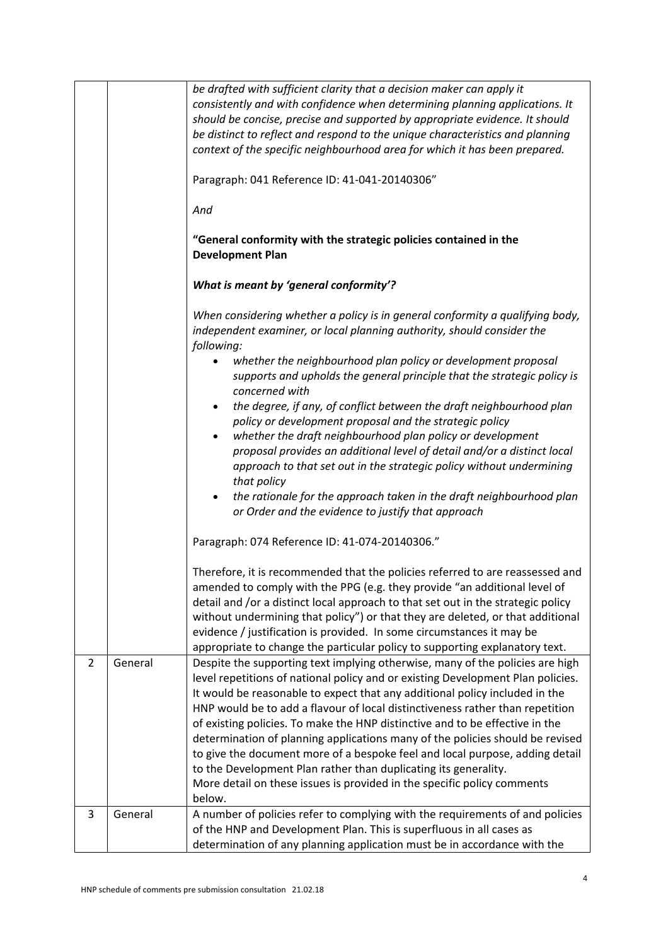|                |         | be drafted with sufficient clarity that a decision maker can apply it<br>consistently and with confidence when determining planning applications. It<br>should be concise, precise and supported by appropriate evidence. It should<br>be distinct to reflect and respond to the unique characteristics and planning<br>context of the specific neighbourhood area for which it has been prepared.<br>Paragraph: 041 Reference ID: 41-041-20140306"<br>And<br>"General conformity with the strategic policies contained in the<br><b>Development Plan</b> |
|----------------|---------|-----------------------------------------------------------------------------------------------------------------------------------------------------------------------------------------------------------------------------------------------------------------------------------------------------------------------------------------------------------------------------------------------------------------------------------------------------------------------------------------------------------------------------------------------------------|
|                |         | What is meant by 'general conformity'?                                                                                                                                                                                                                                                                                                                                                                                                                                                                                                                    |
|                |         | When considering whether a policy is in general conformity a qualifying body,<br>independent examiner, or local planning authority, should consider the<br>following:                                                                                                                                                                                                                                                                                                                                                                                     |
|                |         | whether the neighbourhood plan policy or development proposal<br>$\bullet$<br>supports and upholds the general principle that the strategic policy is<br>concerned with                                                                                                                                                                                                                                                                                                                                                                                   |
|                |         | the degree, if any, of conflict between the draft neighbourhood plan<br>$\bullet$<br>policy or development proposal and the strategic policy                                                                                                                                                                                                                                                                                                                                                                                                              |
|                |         | whether the draft neighbourhood plan policy or development<br>proposal provides an additional level of detail and/or a distinct local<br>approach to that set out in the strategic policy without undermining<br>that policy                                                                                                                                                                                                                                                                                                                              |
|                |         | the rationale for the approach taken in the draft neighbourhood plan<br>$\bullet$<br>or Order and the evidence to justify that approach                                                                                                                                                                                                                                                                                                                                                                                                                   |
|                |         | Paragraph: 074 Reference ID: 41-074-20140306."                                                                                                                                                                                                                                                                                                                                                                                                                                                                                                            |
|                |         | Therefore, it is recommended that the policies referred to are reassessed and<br>amended to comply with the PPG (e.g. they provide "an additional level of<br>detail and /or a distinct local approach to that set out in the strategic policy<br>without undermining that policy") or that they are deleted, or that additional<br>evidence / justification is provided. In some circumstances it may be<br>appropriate to change the particular policy to supporting explanatory text.                                                                  |
| $\overline{2}$ | General | Despite the supporting text implying otherwise, many of the policies are high<br>level repetitions of national policy and or existing Development Plan policies.<br>It would be reasonable to expect that any additional policy included in the<br>HNP would be to add a flavour of local distinctiveness rather than repetition<br>of existing policies. To make the HNP distinctive and to be effective in the<br>determination of planning applications many of the policies should be revised                                                         |
|                |         | to give the document more of a bespoke feel and local purpose, adding detail<br>to the Development Plan rather than duplicating its generality.<br>More detail on these issues is provided in the specific policy comments                                                                                                                                                                                                                                                                                                                                |
|                |         | below.                                                                                                                                                                                                                                                                                                                                                                                                                                                                                                                                                    |
| 3              | General | A number of policies refer to complying with the requirements of and policies<br>of the HNP and Development Plan. This is superfluous in all cases as<br>determination of any planning application must be in accordance with the                                                                                                                                                                                                                                                                                                                         |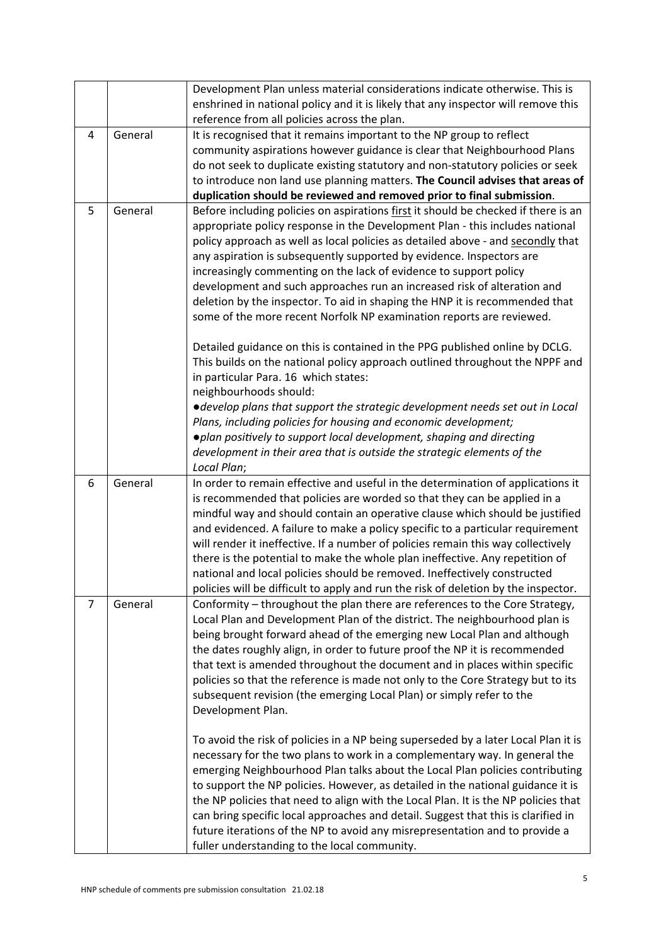|                |         | Development Plan unless material considerations indicate otherwise. This is<br>enshrined in national policy and it is likely that any inspector will remove this                                                                                                                                                                                                                                                                                                                                                                                                                                                                                                                                                                                                                                                                                                                                                                                                                                                                                                                                                                                                                                                                  |
|----------------|---------|-----------------------------------------------------------------------------------------------------------------------------------------------------------------------------------------------------------------------------------------------------------------------------------------------------------------------------------------------------------------------------------------------------------------------------------------------------------------------------------------------------------------------------------------------------------------------------------------------------------------------------------------------------------------------------------------------------------------------------------------------------------------------------------------------------------------------------------------------------------------------------------------------------------------------------------------------------------------------------------------------------------------------------------------------------------------------------------------------------------------------------------------------------------------------------------------------------------------------------------|
|                |         | reference from all policies across the plan.                                                                                                                                                                                                                                                                                                                                                                                                                                                                                                                                                                                                                                                                                                                                                                                                                                                                                                                                                                                                                                                                                                                                                                                      |
| 4              | General | It is recognised that it remains important to the NP group to reflect<br>community aspirations however guidance is clear that Neighbourhood Plans<br>do not seek to duplicate existing statutory and non-statutory policies or seek<br>to introduce non land use planning matters. The Council advises that areas of<br>duplication should be reviewed and removed prior to final submission.                                                                                                                                                                                                                                                                                                                                                                                                                                                                                                                                                                                                                                                                                                                                                                                                                                     |
| 5              | General | Before including policies on aspirations first it should be checked if there is an<br>appropriate policy response in the Development Plan - this includes national<br>policy approach as well as local policies as detailed above - and secondly that<br>any aspiration is subsequently supported by evidence. Inspectors are<br>increasingly commenting on the lack of evidence to support policy<br>development and such approaches run an increased risk of alteration and<br>deletion by the inspector. To aid in shaping the HNP it is recommended that<br>some of the more recent Norfolk NP examination reports are reviewed.<br>Detailed guidance on this is contained in the PPG published online by DCLG.<br>This builds on the national policy approach outlined throughout the NPPF and<br>in particular Para. 16 which states:<br>neighbourhoods should:<br>• develop plans that support the strategic development needs set out in Local<br>Plans, including policies for housing and economic development;                                                                                                                                                                                                         |
|                |         | . plan positively to support local development, shaping and directing<br>development in their area that is outside the strategic elements of the<br>Local Plan;                                                                                                                                                                                                                                                                                                                                                                                                                                                                                                                                                                                                                                                                                                                                                                                                                                                                                                                                                                                                                                                                   |
| 6              | General | In order to remain effective and useful in the determination of applications it<br>is recommended that policies are worded so that they can be applied in a<br>mindful way and should contain an operative clause which should be justified<br>and evidenced. A failure to make a policy specific to a particular requirement<br>will render it ineffective. If a number of policies remain this way collectively<br>there is the potential to make the whole plan ineffective. Any repetition of<br>national and local policies should be removed. Ineffectively constructed<br>policies will be difficult to apply and run the risk of deletion by the inspector.                                                                                                                                                                                                                                                                                                                                                                                                                                                                                                                                                               |
| $\overline{7}$ | General | Conformity - throughout the plan there are references to the Core Strategy,<br>Local Plan and Development Plan of the district. The neighbourhood plan is<br>being brought forward ahead of the emerging new Local Plan and although<br>the dates roughly align, in order to future proof the NP it is recommended<br>that text is amended throughout the document and in places within specific<br>policies so that the reference is made not only to the Core Strategy but to its<br>subsequent revision (the emerging Local Plan) or simply refer to the<br>Development Plan.<br>To avoid the risk of policies in a NP being superseded by a later Local Plan it is<br>necessary for the two plans to work in a complementary way. In general the<br>emerging Neighbourhood Plan talks about the Local Plan policies contributing<br>to support the NP policies. However, as detailed in the national guidance it is<br>the NP policies that need to align with the Local Plan. It is the NP policies that<br>can bring specific local approaches and detail. Suggest that this is clarified in<br>future iterations of the NP to avoid any misrepresentation and to provide a<br>fuller understanding to the local community. |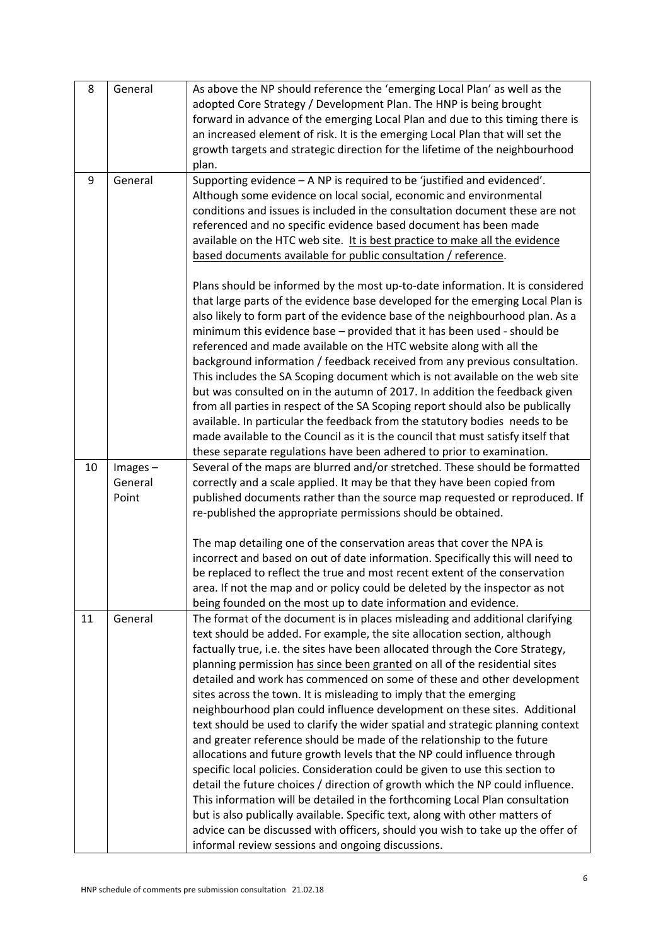| 8  | General                        | As above the NP should reference the 'emerging Local Plan' as well as the<br>adopted Core Strategy / Development Plan. The HNP is being brought<br>forward in advance of the emerging Local Plan and due to this timing there is<br>an increased element of risk. It is the emerging Local Plan that will set the<br>growth targets and strategic direction for the lifetime of the neighbourhood<br>plan.                                                                                                                                                                                                                                                                                                                                                                                                                                                                                                                                                                                                                                                                                                                                                                                                                                                            |
|----|--------------------------------|-----------------------------------------------------------------------------------------------------------------------------------------------------------------------------------------------------------------------------------------------------------------------------------------------------------------------------------------------------------------------------------------------------------------------------------------------------------------------------------------------------------------------------------------------------------------------------------------------------------------------------------------------------------------------------------------------------------------------------------------------------------------------------------------------------------------------------------------------------------------------------------------------------------------------------------------------------------------------------------------------------------------------------------------------------------------------------------------------------------------------------------------------------------------------------------------------------------------------------------------------------------------------|
| 9  | General                        | Supporting evidence - A NP is required to be 'justified and evidenced'.<br>Although some evidence on local social, economic and environmental<br>conditions and issues is included in the consultation document these are not<br>referenced and no specific evidence based document has been made<br>available on the HTC web site. It is best practice to make all the evidence<br>based documents available for public consultation / reference.                                                                                                                                                                                                                                                                                                                                                                                                                                                                                                                                                                                                                                                                                                                                                                                                                    |
|    |                                | Plans should be informed by the most up-to-date information. It is considered<br>that large parts of the evidence base developed for the emerging Local Plan is<br>also likely to form part of the evidence base of the neighbourhood plan. As a<br>minimum this evidence base - provided that it has been used - should be<br>referenced and made available on the HTC website along with all the<br>background information / feedback received from any previous consultation.<br>This includes the SA Scoping document which is not available on the web site<br>but was consulted on in the autumn of 2017. In addition the feedback given<br>from all parties in respect of the SA Scoping report should also be publically<br>available. In particular the feedback from the statutory bodies needs to be<br>made available to the Council as it is the council that must satisfy itself that<br>these separate regulations have been adhered to prior to examination.                                                                                                                                                                                                                                                                                          |
| 10 | $Images -$<br>General<br>Point | Several of the maps are blurred and/or stretched. These should be formatted<br>correctly and a scale applied. It may be that they have been copied from<br>published documents rather than the source map requested or reproduced. If<br>re-published the appropriate permissions should be obtained.                                                                                                                                                                                                                                                                                                                                                                                                                                                                                                                                                                                                                                                                                                                                                                                                                                                                                                                                                                 |
|    |                                | The map detailing one of the conservation areas that cover the NPA is<br>incorrect and based on out of date information. Specifically this will need to<br>be replaced to reflect the true and most recent extent of the conservation<br>area. If not the map and or policy could be deleted by the inspector as not<br>being founded on the most up to date information and evidence.                                                                                                                                                                                                                                                                                                                                                                                                                                                                                                                                                                                                                                                                                                                                                                                                                                                                                |
| 11 | General                        | The format of the document is in places misleading and additional clarifying<br>text should be added. For example, the site allocation section, although<br>factually true, i.e. the sites have been allocated through the Core Strategy,<br>planning permission has since been granted on all of the residential sites<br>detailed and work has commenced on some of these and other development<br>sites across the town. It is misleading to imply that the emerging<br>neighbourhood plan could influence development on these sites. Additional<br>text should be used to clarify the wider spatial and strategic planning context<br>and greater reference should be made of the relationship to the future<br>allocations and future growth levels that the NP could influence through<br>specific local policies. Consideration could be given to use this section to<br>detail the future choices / direction of growth which the NP could influence.<br>This information will be detailed in the forthcoming Local Plan consultation<br>but is also publically available. Specific text, along with other matters of<br>advice can be discussed with officers, should you wish to take up the offer of<br>informal review sessions and ongoing discussions. |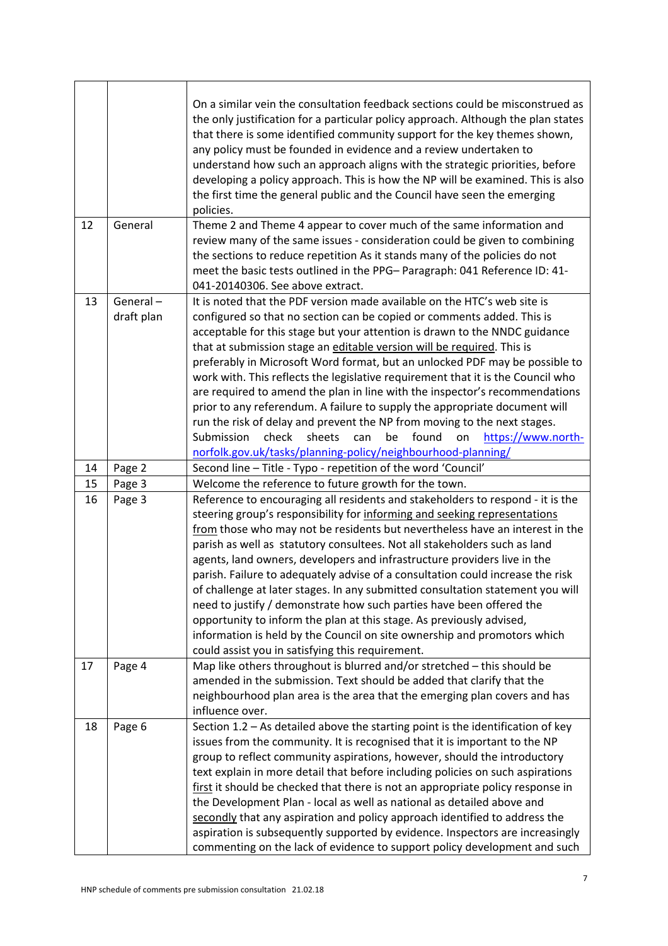|    | General                | On a similar vein the consultation feedback sections could be misconstrued as<br>the only justification for a particular policy approach. Although the plan states<br>that there is some identified community support for the key themes shown,<br>any policy must be founded in evidence and a review undertaken to<br>understand how such an approach aligns with the strategic priorities, before<br>developing a policy approach. This is how the NP will be examined. This is also<br>the first time the general public and the Council have seen the emerging<br>policies.                                                                                                                                                                                                                                                                                         |
|----|------------------------|--------------------------------------------------------------------------------------------------------------------------------------------------------------------------------------------------------------------------------------------------------------------------------------------------------------------------------------------------------------------------------------------------------------------------------------------------------------------------------------------------------------------------------------------------------------------------------------------------------------------------------------------------------------------------------------------------------------------------------------------------------------------------------------------------------------------------------------------------------------------------|
| 12 |                        | Theme 2 and Theme 4 appear to cover much of the same information and<br>review many of the same issues - consideration could be given to combining<br>the sections to reduce repetition As it stands many of the policies do not<br>meet the basic tests outlined in the PPG- Paragraph: 041 Reference ID: 41-                                                                                                                                                                                                                                                                                                                                                                                                                                                                                                                                                           |
|    |                        | 041-20140306. See above extract.                                                                                                                                                                                                                                                                                                                                                                                                                                                                                                                                                                                                                                                                                                                                                                                                                                         |
| 13 | General-<br>draft plan | It is noted that the PDF version made available on the HTC's web site is<br>configured so that no section can be copied or comments added. This is<br>acceptable for this stage but your attention is drawn to the NNDC guidance<br>that at submission stage an editable version will be required. This is<br>preferably in Microsoft Word format, but an unlocked PDF may be possible to<br>work with. This reflects the legislative requirement that it is the Council who<br>are required to amend the plan in line with the inspector's recommendations<br>prior to any referendum. A failure to supply the appropriate document will<br>run the risk of delay and prevent the NP from moving to the next stages.<br>Submission<br>check<br>sheets<br>found<br>https://www.north-<br>can<br>be<br>on<br>norfolk.gov.uk/tasks/planning-policy/neighbourhood-planning/ |
| 14 | Page 2                 | Second line - Title - Typo - repetition of the word 'Council'                                                                                                                                                                                                                                                                                                                                                                                                                                                                                                                                                                                                                                                                                                                                                                                                            |
| 15 | Page 3                 | Welcome the reference to future growth for the town.                                                                                                                                                                                                                                                                                                                                                                                                                                                                                                                                                                                                                                                                                                                                                                                                                     |
| 16 | Page 3                 | Reference to encouraging all residents and stakeholders to respond - it is the<br>steering group's responsibility for informing and seeking representations<br>from those who may not be residents but nevertheless have an interest in the<br>parish as well as statutory consultees. Not all stakeholders such as land                                                                                                                                                                                                                                                                                                                                                                                                                                                                                                                                                 |
|    |                        | agents, land owners, developers and infrastructure providers live in the<br>parish. Failure to adequately advise of a consultation could increase the risk<br>of challenge at later stages. In any submitted consultation statement you will<br>need to justify / demonstrate how such parties have been offered the<br>opportunity to inform the plan at this stage. As previously advised,<br>information is held by the Council on site ownership and promotors which<br>could assist you in satisfying this requirement.                                                                                                                                                                                                                                                                                                                                             |
| 17 | Page 4                 | Map like others throughout is blurred and/or stretched - this should be<br>amended in the submission. Text should be added that clarify that the<br>neighbourhood plan area is the area that the emerging plan covers and has<br>influence over.<br>Section $1.2$ – As detailed above the starting point is the identification of key                                                                                                                                                                                                                                                                                                                                                                                                                                                                                                                                    |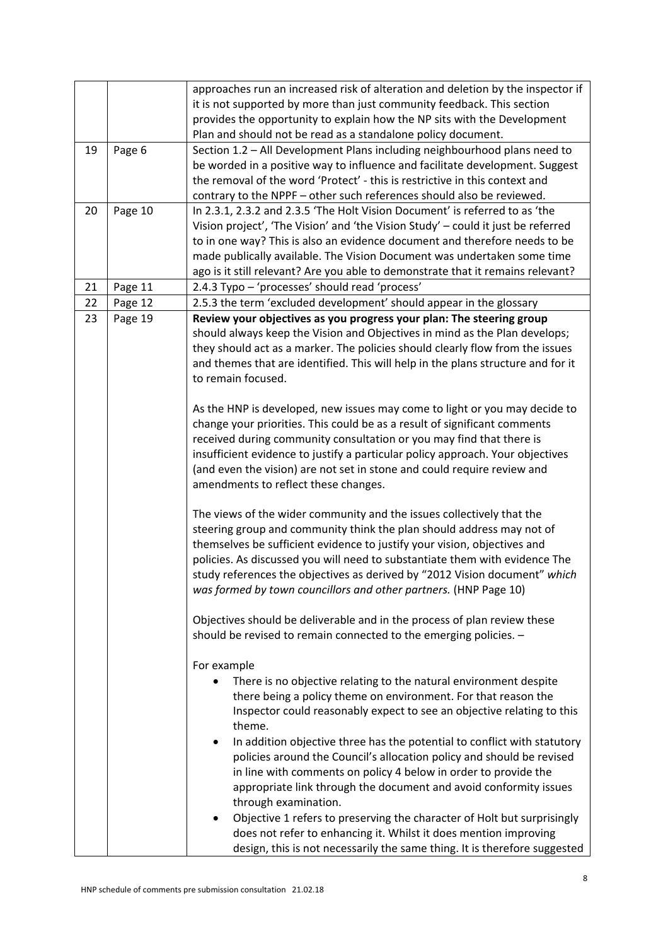|    |         | approaches run an increased risk of alteration and deletion by the inspector if                                 |
|----|---------|-----------------------------------------------------------------------------------------------------------------|
|    |         | it is not supported by more than just community feedback. This section                                          |
|    |         | provides the opportunity to explain how the NP sits with the Development                                        |
|    |         | Plan and should not be read as a standalone policy document.                                                    |
| 19 | Page 6  | Section 1.2 - All Development Plans including neighbourhood plans need to                                       |
|    |         | be worded in a positive way to influence and facilitate development. Suggest                                    |
|    |         | the removal of the word 'Protect' - this is restrictive in this context and                                     |
|    |         | contrary to the NPPF - other such references should also be reviewed.                                           |
| 20 | Page 10 | In 2.3.1, 2.3.2 and 2.3.5 'The Holt Vision Document' is referred to as 'the                                     |
|    |         | Vision project', 'The Vision' and 'the Vision Study' - could it just be referred                                |
|    |         | to in one way? This is also an evidence document and therefore needs to be                                      |
|    |         | made publically available. The Vision Document was undertaken some time                                         |
|    |         | ago is it still relevant? Are you able to demonstrate that it remains relevant?                                 |
| 21 | Page 11 | 2.4.3 Typo - 'processes' should read 'process'                                                                  |
| 22 | Page 12 | 2.5.3 the term 'excluded development' should appear in the glossary                                             |
| 23 | Page 19 | Review your objectives as you progress your plan: The steering group                                            |
|    |         | should always keep the Vision and Objectives in mind as the Plan develops;                                      |
|    |         | they should act as a marker. The policies should clearly flow from the issues                                   |
|    |         | and themes that are identified. This will help in the plans structure and for it                                |
|    |         | to remain focused.                                                                                              |
|    |         |                                                                                                                 |
|    |         | As the HNP is developed, new issues may come to light or you may decide to                                      |
|    |         | change your priorities. This could be as a result of significant comments                                       |
|    |         | received during community consultation or you may find that there is                                            |
|    |         | insufficient evidence to justify a particular policy approach. Your objectives                                  |
|    |         | (and even the vision) are not set in stone and could require review and<br>amendments to reflect these changes. |
|    |         |                                                                                                                 |
|    |         | The views of the wider community and the issues collectively that the                                           |
|    |         | steering group and community think the plan should address may not of                                           |
|    |         | themselves be sufficient evidence to justify your vision, objectives and                                        |
|    |         | policies. As discussed you will need to substantiate them with evidence The                                     |
|    |         | study references the objectives as derived by "2012 Vision document" which                                      |
|    |         | was formed by town councillors and other partners. (HNP Page 10)                                                |
|    |         |                                                                                                                 |
|    |         | Objectives should be deliverable and in the process of plan review these                                        |
|    |         | should be revised to remain connected to the emerging policies. -                                               |
|    |         |                                                                                                                 |
|    |         | For example                                                                                                     |
|    |         | There is no objective relating to the natural environment despite                                               |
|    |         | there being a policy theme on environment. For that reason the                                                  |
|    |         | Inspector could reasonably expect to see an objective relating to this                                          |
|    |         | theme.                                                                                                          |
|    |         | In addition objective three has the potential to conflict with statutory<br>٠                                   |
|    |         | policies around the Council's allocation policy and should be revised                                           |
|    |         | in line with comments on policy 4 below in order to provide the                                                 |
|    |         | appropriate link through the document and avoid conformity issues                                               |
|    |         | through examination.                                                                                            |
|    |         | Objective 1 refers to preserving the character of Holt but surprisingly<br>٠                                    |
|    |         | does not refer to enhancing it. Whilst it does mention improving                                                |
|    |         | design, this is not necessarily the same thing. It is therefore suggested                                       |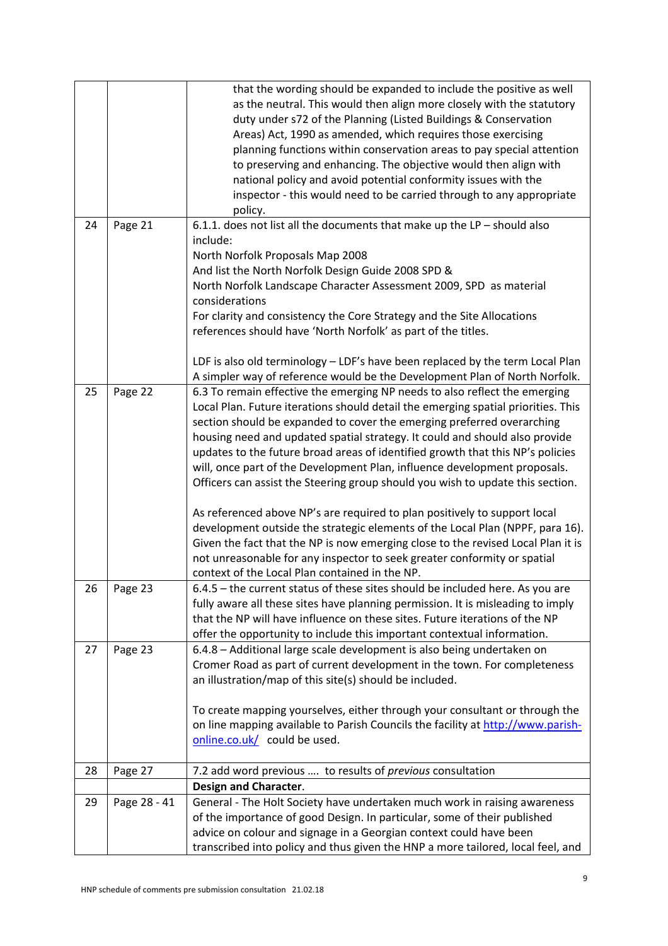|    |              | that the wording should be expanded to include the positive as well               |
|----|--------------|-----------------------------------------------------------------------------------|
|    |              | as the neutral. This would then align more closely with the statutory             |
|    |              | duty under s72 of the Planning (Listed Buildings & Conservation                   |
|    |              | Areas) Act, 1990 as amended, which requires those exercising                      |
|    |              | planning functions within conservation areas to pay special attention             |
|    |              | to preserving and enhancing. The objective would then align with                  |
|    |              | national policy and avoid potential conformity issues with the                    |
|    |              | inspector - this would need to be carried through to any appropriate              |
|    |              | policy.                                                                           |
| 24 | Page 21      | 6.1.1. does not list all the documents that make up the $LP$ - should also        |
|    |              | include:                                                                          |
|    |              | North Norfolk Proposals Map 2008                                                  |
|    |              | And list the North Norfolk Design Guide 2008 SPD &                                |
|    |              | North Norfolk Landscape Character Assessment 2009, SPD as material                |
|    |              | considerations                                                                    |
|    |              | For clarity and consistency the Core Strategy and the Site Allocations            |
|    |              | references should have 'North Norfolk' as part of the titles.                     |
|    |              |                                                                                   |
|    |              | LDF is also old terminology - LDF's have been replaced by the term Local Plan     |
|    |              | A simpler way of reference would be the Development Plan of North Norfolk.        |
| 25 | Page 22      | 6.3 To remain effective the emerging NP needs to also reflect the emerging        |
|    |              | Local Plan. Future iterations should detail the emerging spatial priorities. This |
|    |              | section should be expanded to cover the emerging preferred overarching            |
|    |              | housing need and updated spatial strategy. It could and should also provide       |
|    |              | updates to the future broad areas of identified growth that this NP's policies    |
|    |              | will, once part of the Development Plan, influence development proposals.         |
|    |              | Officers can assist the Steering group should you wish to update this section.    |
|    |              |                                                                                   |
|    |              | As referenced above NP's are required to plan positively to support local         |
|    |              | development outside the strategic elements of the Local Plan (NPPF, para 16).     |
|    |              | Given the fact that the NP is now emerging close to the revised Local Plan it is  |
|    |              | not unreasonable for any inspector to seek greater conformity or spatial          |
|    |              | context of the Local Plan contained in the NP.                                    |
| 26 | Page 23      | 6.4.5 – the current status of these sites should be included here. As you are     |
|    |              | fully aware all these sites have planning permission. It is misleading to imply   |
|    |              | that the NP will have influence on these sites. Future iterations of the NP       |
|    |              | offer the opportunity to include this important contextual information.           |
| 27 | Page 23      | 6.4.8 - Additional large scale development is also being undertaken on            |
|    |              | Cromer Road as part of current development in the town. For completeness          |
|    |              | an illustration/map of this site(s) should be included.                           |
|    |              | To create mapping yourselves, either through your consultant or through the       |
|    |              | on line mapping available to Parish Councils the facility at http://www.parish-   |
|    |              | online.co.uk/ could be used.                                                      |
|    |              |                                                                                   |
| 28 | Page 27      | 7.2 add word previous  to results of previous consultation                        |
|    |              | Design and Character.                                                             |
| 29 | Page 28 - 41 | General - The Holt Society have undertaken much work in raising awareness         |
|    |              | of the importance of good Design. In particular, some of their published          |
|    |              | advice on colour and signage in a Georgian context could have been                |
|    |              | transcribed into policy and thus given the HNP a more tailored, local feel, and   |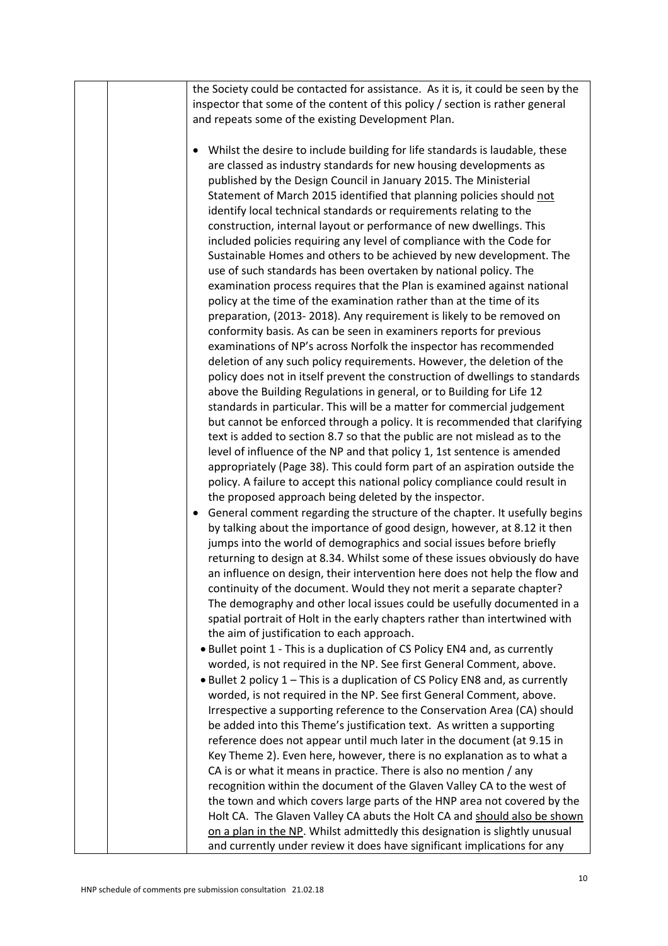| the Society could be contacted for assistance. As it is, it could be seen by the                                                                         |
|----------------------------------------------------------------------------------------------------------------------------------------------------------|
| inspector that some of the content of this policy / section is rather general                                                                            |
| and repeats some of the existing Development Plan.                                                                                                       |
|                                                                                                                                                          |
| Whilst the desire to include building for life standards is laudable, these<br>$\bullet$                                                                 |
| are classed as industry standards for new housing developments as                                                                                        |
| published by the Design Council in January 2015. The Ministerial                                                                                         |
| Statement of March 2015 identified that planning policies should not                                                                                     |
| identify local technical standards or requirements relating to the                                                                                       |
| construction, internal layout or performance of new dwellings. This                                                                                      |
| included policies requiring any level of compliance with the Code for                                                                                    |
| Sustainable Homes and others to be achieved by new development. The                                                                                      |
| use of such standards has been overtaken by national policy. The                                                                                         |
| examination process requires that the Plan is examined against national                                                                                  |
| policy at the time of the examination rather than at the time of its                                                                                     |
| preparation, (2013-2018). Any requirement is likely to be removed on                                                                                     |
| conformity basis. As can be seen in examiners reports for previous                                                                                       |
| examinations of NP's across Norfolk the inspector has recommended                                                                                        |
| deletion of any such policy requirements. However, the deletion of the                                                                                   |
| policy does not in itself prevent the construction of dwellings to standards                                                                             |
| above the Building Regulations in general, or to Building for Life 12                                                                                    |
| standards in particular. This will be a matter for commercial judgement                                                                                  |
| but cannot be enforced through a policy. It is recommended that clarifying                                                                               |
| text is added to section 8.7 so that the public are not mislead as to the                                                                                |
| level of influence of the NP and that policy 1, 1st sentence is amended                                                                                  |
| appropriately (Page 38). This could form part of an aspiration outside the                                                                               |
| policy. A failure to accept this national policy compliance could result in                                                                              |
| the proposed approach being deleted by the inspector.                                                                                                    |
| General comment regarding the structure of the chapter. It usefully begins                                                                               |
| by talking about the importance of good design, however, at 8.12 it then                                                                                 |
| jumps into the world of demographics and social issues before briefly                                                                                    |
| returning to design at 8.34. Whilst some of these issues obviously do have<br>an influence on design, their intervention here does not help the flow and |
| continuity of the document. Would they not merit a separate chapter?                                                                                     |
| The demography and other local issues could be usefully documented in a                                                                                  |
| spatial portrait of Holt in the early chapters rather than intertwined with                                                                              |
| the aim of justification to each approach.                                                                                                               |
| . Bullet point 1 - This is a duplication of CS Policy EN4 and, as currently                                                                              |
| worded, is not required in the NP. See first General Comment, above.                                                                                     |
| • Bullet 2 policy 1 – This is a duplication of CS Policy EN8 and, as currently                                                                           |
| worded, is not required in the NP. See first General Comment, above.                                                                                     |
| Irrespective a supporting reference to the Conservation Area (CA) should                                                                                 |
| be added into this Theme's justification text. As written a supporting                                                                                   |
| reference does not appear until much later in the document (at 9.15 in                                                                                   |
| Key Theme 2). Even here, however, there is no explanation as to what a                                                                                   |
| CA is or what it means in practice. There is also no mention / any                                                                                       |
| recognition within the document of the Glaven Valley CA to the west of                                                                                   |
| the town and which covers large parts of the HNP area not covered by the                                                                                 |
| Holt CA. The Glaven Valley CA abuts the Holt CA and should also be shown                                                                                 |
| on a plan in the NP. Whilst admittedly this designation is slightly unusual                                                                              |
| and currently under review it does have significant implications for any                                                                                 |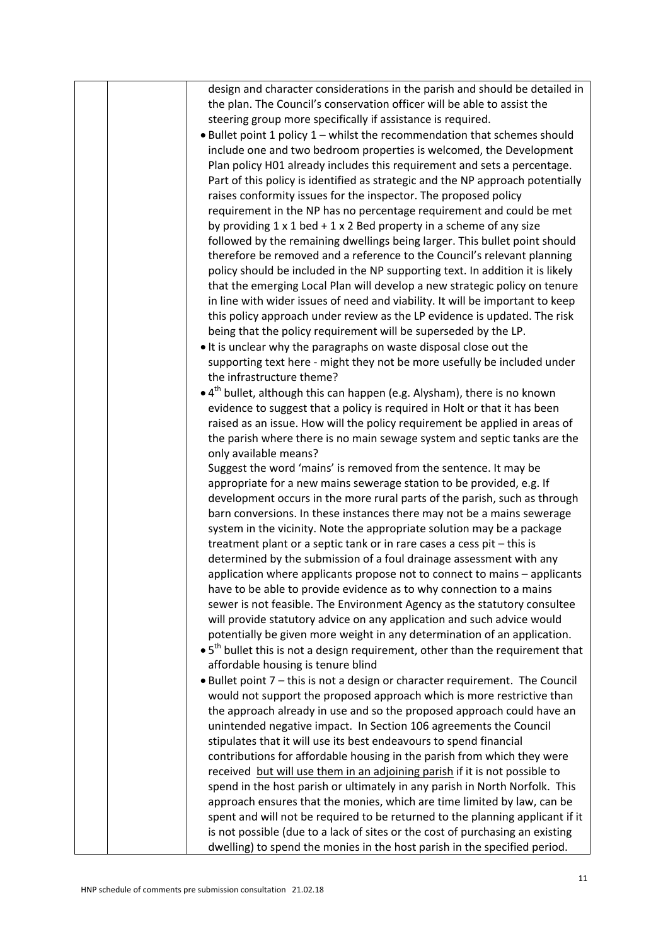|  | design and character considerations in the parish and should be detailed in                        |
|--|----------------------------------------------------------------------------------------------------|
|  | the plan. The Council's conservation officer will be able to assist the                            |
|  | steering group more specifically if assistance is required.                                        |
|  | . Bullet point 1 policy 1 - whilst the recommendation that schemes should                          |
|  | include one and two bedroom properties is welcomed, the Development                                |
|  | Plan policy H01 already includes this requirement and sets a percentage.                           |
|  | Part of this policy is identified as strategic and the NP approach potentially                     |
|  | raises conformity issues for the inspector. The proposed policy                                    |
|  | requirement in the NP has no percentage requirement and could be met                               |
|  | by providing $1 \times 1$ bed + $1 \times 2$ Bed property in a scheme of any size                  |
|  | followed by the remaining dwellings being larger. This bullet point should                         |
|  | therefore be removed and a reference to the Council's relevant planning                            |
|  | policy should be included in the NP supporting text. In addition it is likely                      |
|  | that the emerging Local Plan will develop a new strategic policy on tenure                         |
|  | in line with wider issues of need and viability. It will be important to keep                      |
|  | this policy approach under review as the LP evidence is updated. The risk                          |
|  | being that the policy requirement will be superseded by the LP.                                    |
|  | • It is unclear why the paragraphs on waste disposal close out the                                 |
|  | supporting text here - might they not be more usefully be included under                           |
|  | the infrastructure theme?                                                                          |
|  | • 4 <sup>th</sup> bullet, although this can happen (e.g. Alysham), there is no known               |
|  | evidence to suggest that a policy is required in Holt or that it has been                          |
|  | raised as an issue. How will the policy requirement be applied in areas of                         |
|  | the parish where there is no main sewage system and septic tanks are the                           |
|  | only available means?                                                                              |
|  | Suggest the word 'mains' is removed from the sentence. It may be                                   |
|  | appropriate for a new mains sewerage station to be provided, e.g. If                               |
|  | development occurs in the more rural parts of the parish, such as through                          |
|  | barn conversions. In these instances there may not be a mains sewerage                             |
|  | system in the vicinity. Note the appropriate solution may be a package                             |
|  | treatment plant or a septic tank or in rare cases a cess pit - this is                             |
|  | determined by the submission of a foul drainage assessment with any                                |
|  | application where applicants propose not to connect to mains - applicants                          |
|  | have to be able to provide evidence as to why connection to a mains                                |
|  | sewer is not feasible. The Environment Agency as the statutory consultee                           |
|  | will provide statutory advice on any application and such advice would                             |
|  | potentially be given more weight in any determination of an application.                           |
|  | $\bullet$ 5 <sup>th</sup> bullet this is not a design requirement, other than the requirement that |
|  | affordable housing is tenure blind                                                                 |
|  | • Bullet point 7 - this is not a design or character requirement. The Council                      |
|  | would not support the proposed approach which is more restrictive than                             |
|  | the approach already in use and so the proposed approach could have an                             |
|  | unintended negative impact. In Section 106 agreements the Council                                  |
|  | stipulates that it will use its best endeavours to spend financial                                 |
|  | contributions for affordable housing in the parish from which they were                            |
|  | received but will use them in an adjoining parish if it is not possible to                         |
|  | spend in the host parish or ultimately in any parish in North Norfolk. This                        |
|  | approach ensures that the monies, which are time limited by law, can be                            |
|  | spent and will not be required to be returned to the planning applicant if it                      |
|  | is not possible (due to a lack of sites or the cost of purchasing an existing                      |
|  | dwelling) to spend the monies in the host parish in the specified period.                          |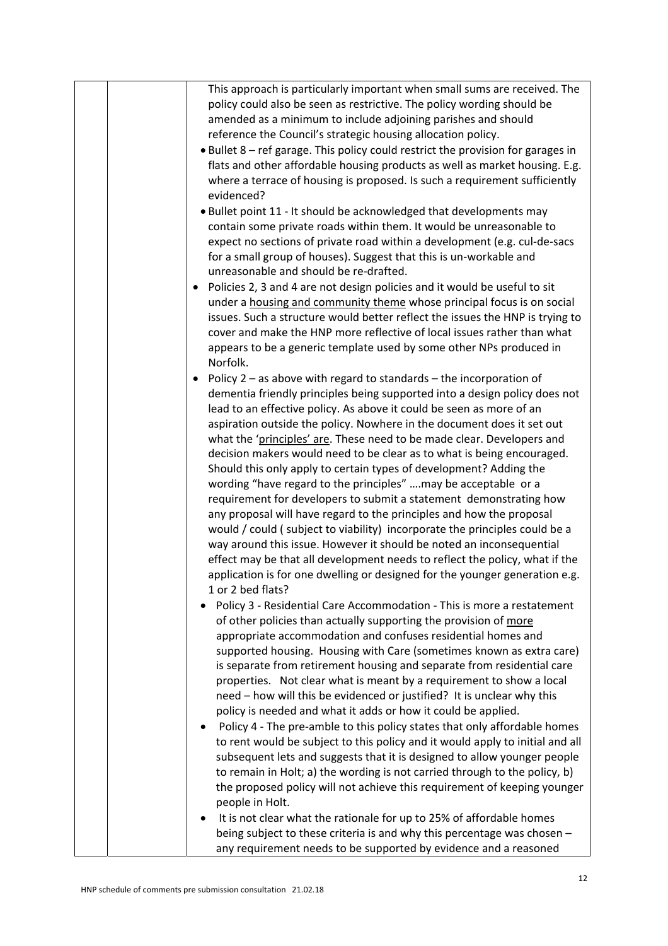|  | This approach is particularly important when small sums are received. The              |
|--|----------------------------------------------------------------------------------------|
|  | policy could also be seen as restrictive. The policy wording should be                 |
|  | amended as a minimum to include adjoining parishes and should                          |
|  | reference the Council's strategic housing allocation policy.                           |
|  | • Bullet 8 - ref garage. This policy could restrict the provision for garages in       |
|  | flats and other affordable housing products as well as market housing. E.g.            |
|  | where a terrace of housing is proposed. Is such a requirement sufficiently             |
|  | evidenced?                                                                             |
|  | . Bullet point 11 - It should be acknowledged that developments may                    |
|  | contain some private roads within them. It would be unreasonable to                    |
|  | expect no sections of private road within a development (e.g. cul-de-sacs              |
|  | for a small group of houses). Suggest that this is un-workable and                     |
|  | unreasonable and should be re-drafted.                                                 |
|  | Policies 2, 3 and 4 are not design policies and it would be useful to sit<br>$\bullet$ |
|  | under a housing and community theme whose principal focus is on social                 |
|  | issues. Such a structure would better reflect the issues the HNP is trying to          |
|  | cover and make the HNP more reflective of local issues rather than what                |
|  | appears to be a generic template used by some other NPs produced in                    |
|  | Norfolk.                                                                               |
|  | Policy $2 - as$ above with regard to standards $-$ the incorporation of<br>$\bullet$   |
|  | dementia friendly principles being supported into a design policy does not             |
|  | lead to an effective policy. As above it could be seen as more of an                   |
|  | aspiration outside the policy. Nowhere in the document does it set out                 |
|  | what the 'principles' are. These need to be made clear. Developers and                 |
|  | decision makers would need to be clear as to what is being encouraged.                 |
|  | Should this only apply to certain types of development? Adding the                     |
|  | wording "have regard to the principles" may be acceptable or a                         |
|  | requirement for developers to submit a statement demonstrating how                     |
|  | any proposal will have regard to the principles and how the proposal                   |
|  | would / could (subject to viability) incorporate the principles could be a             |
|  | way around this issue. However it should be noted an inconsequential                   |
|  | effect may be that all development needs to reflect the policy, what if the            |
|  | application is for one dwelling or designed for the younger generation e.g.            |
|  | 1 or 2 bed flats?                                                                      |
|  | Policy 3 - Residential Care Accommodation - This is more a restatement                 |
|  | of other policies than actually supporting the provision of more                       |
|  | appropriate accommodation and confuses residential homes and                           |
|  | supported housing. Housing with Care (sometimes known as extra care)                   |
|  | is separate from retirement housing and separate from residential care                 |
|  | properties. Not clear what is meant by a requirement to show a local                   |
|  | need - how will this be evidenced or justified? It is unclear why this                 |
|  | policy is needed and what it adds or how it could be applied.                          |
|  | Policy 4 - The pre-amble to this policy states that only affordable homes              |
|  | to rent would be subject to this policy and it would apply to initial and all          |
|  | subsequent lets and suggests that it is designed to allow younger people               |
|  | to remain in Holt; a) the wording is not carried through to the policy, b)             |
|  | the proposed policy will not achieve this requirement of keeping younger               |
|  | people in Holt.                                                                        |
|  | It is not clear what the rationale for up to 25% of affordable homes                   |
|  | being subject to these criteria is and why this percentage was chosen -                |
|  | any requirement needs to be supported by evidence and a reasoned                       |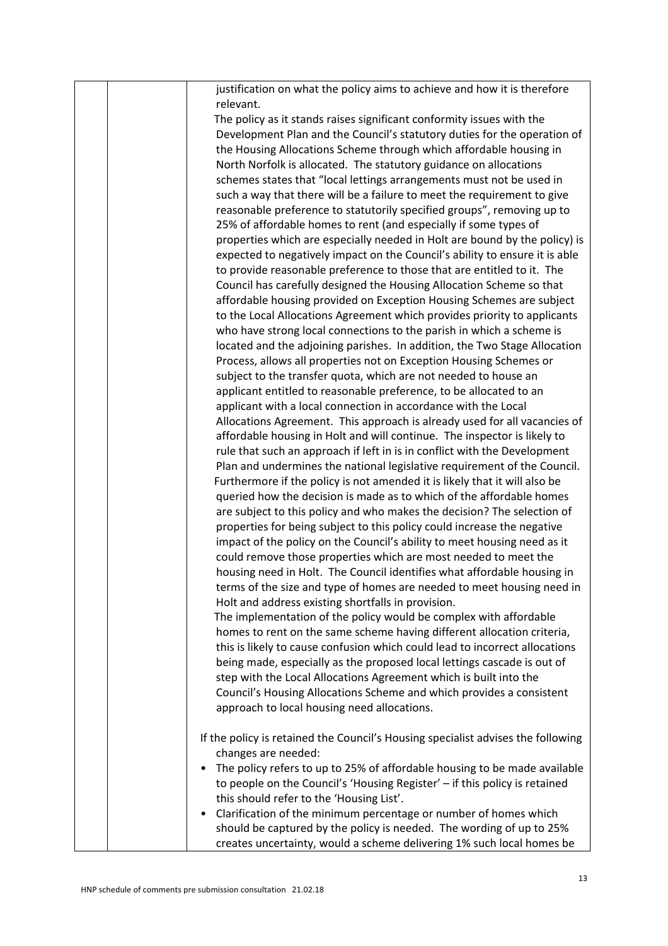|  | justification on what the policy aims to achieve and how it is therefore                                                                              |
|--|-------------------------------------------------------------------------------------------------------------------------------------------------------|
|  | relevant.<br>The policy as it stands raises significant conformity issues with the                                                                    |
|  | Development Plan and the Council's statutory duties for the operation of<br>the Housing Allocations Scheme through which affordable housing in        |
|  | North Norfolk is allocated. The statutory guidance on allocations                                                                                     |
|  | schemes states that "local lettings arrangements must not be used in                                                                                  |
|  | such a way that there will be a failure to meet the requirement to give                                                                               |
|  | reasonable preference to statutorily specified groups", removing up to                                                                                |
|  | 25% of affordable homes to rent (and especially if some types of                                                                                      |
|  | properties which are especially needed in Holt are bound by the policy) is                                                                            |
|  | expected to negatively impact on the Council's ability to ensure it is able<br>to provide reasonable preference to those that are entitled to it. The |
|  | Council has carefully designed the Housing Allocation Scheme so that                                                                                  |
|  | affordable housing provided on Exception Housing Schemes are subject                                                                                  |
|  | to the Local Allocations Agreement which provides priority to applicants                                                                              |
|  | who have strong local connections to the parish in which a scheme is                                                                                  |
|  | located and the adjoining parishes. In addition, the Two Stage Allocation                                                                             |
|  | Process, allows all properties not on Exception Housing Schemes or                                                                                    |
|  | subject to the transfer quota, which are not needed to house an                                                                                       |
|  | applicant entitled to reasonable preference, to be allocated to an                                                                                    |
|  | applicant with a local connection in accordance with the Local                                                                                        |
|  | Allocations Agreement. This approach is already used for all vacancies of                                                                             |
|  | affordable housing in Holt and will continue. The inspector is likely to                                                                              |
|  | rule that such an approach if left in is in conflict with the Development                                                                             |
|  | Plan and undermines the national legislative requirement of the Council.                                                                              |
|  | Furthermore if the policy is not amended it is likely that it will also be                                                                            |
|  | queried how the decision is made as to which of the affordable homes                                                                                  |
|  | are subject to this policy and who makes the decision? The selection of                                                                               |
|  | properties for being subject to this policy could increase the negative                                                                               |
|  | impact of the policy on the Council's ability to meet housing need as it                                                                              |
|  | could remove those properties which are most needed to meet the<br>housing need in Holt. The Council identifies what affordable housing in            |
|  | terms of the size and type of homes are needed to meet housing need in                                                                                |
|  | Holt and address existing shortfalls in provision.                                                                                                    |
|  | The implementation of the policy would be complex with affordable                                                                                     |
|  | homes to rent on the same scheme having different allocation criteria,                                                                                |
|  | this is likely to cause confusion which could lead to incorrect allocations                                                                           |
|  | being made, especially as the proposed local lettings cascade is out of                                                                               |
|  | step with the Local Allocations Agreement which is built into the                                                                                     |
|  | Council's Housing Allocations Scheme and which provides a consistent                                                                                  |
|  | approach to local housing need allocations.                                                                                                           |
|  | If the policy is retained the Council's Housing specialist advises the following                                                                      |
|  | changes are needed:                                                                                                                                   |
|  | The policy refers to up to 25% of affordable housing to be made available                                                                             |
|  | to people on the Council's 'Housing Register' - if this policy is retained                                                                            |
|  | this should refer to the 'Housing List'.                                                                                                              |
|  | Clarification of the minimum percentage or number of homes which<br>$\bullet$                                                                         |
|  | should be captured by the policy is needed. The wording of up to 25%<br>creates uncertainty, would a scheme delivering 1% such local homes be         |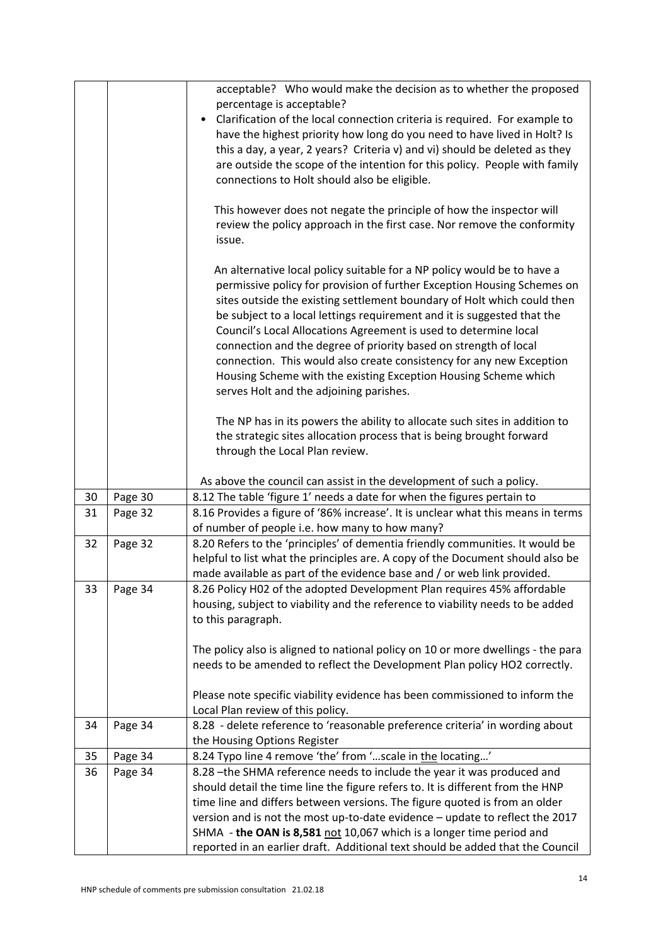|    |         | acceptable? Who would make the decision as to whether the proposed                                                                                     |
|----|---------|--------------------------------------------------------------------------------------------------------------------------------------------------------|
|    |         | percentage is acceptable?                                                                                                                              |
|    |         | Clarification of the local connection criteria is required. For example to                                                                             |
|    |         | have the highest priority how long do you need to have lived in Holt? Is                                                                               |
|    |         | this a day, a year, 2 years? Criteria v) and vi) should be deleted as they                                                                             |
|    |         | are outside the scope of the intention for this policy. People with family                                                                             |
|    |         | connections to Holt should also be eligible.                                                                                                           |
|    |         | This however does not negate the principle of how the inspector will                                                                                   |
|    |         | review the policy approach in the first case. Nor remove the conformity                                                                                |
|    |         | issue.                                                                                                                                                 |
|    |         |                                                                                                                                                        |
|    |         | An alternative local policy suitable for a NP policy would be to have a<br>permissive policy for provision of further Exception Housing Schemes on     |
|    |         | sites outside the existing settlement boundary of Holt which could then                                                                                |
|    |         | be subject to a local lettings requirement and it is suggested that the                                                                                |
|    |         | Council's Local Allocations Agreement is used to determine local                                                                                       |
|    |         | connection and the degree of priority based on strength of local                                                                                       |
|    |         | connection. This would also create consistency for any new Exception                                                                                   |
|    |         | Housing Scheme with the existing Exception Housing Scheme which                                                                                        |
|    |         | serves Holt and the adjoining parishes.                                                                                                                |
|    |         | The NP has in its powers the ability to allocate such sites in addition to                                                                             |
|    |         | the strategic sites allocation process that is being brought forward                                                                                   |
|    |         | through the Local Plan review.                                                                                                                         |
|    |         |                                                                                                                                                        |
|    |         | As above the council can assist in the development of such a policy.                                                                                   |
| 30 |         |                                                                                                                                                        |
|    | Page 30 | 8.12 The table 'figure 1' needs a date for when the figures pertain to                                                                                 |
| 31 | Page 32 | 8.16 Provides a figure of '86% increase'. It is unclear what this means in terms                                                                       |
|    |         | of number of people i.e. how many to how many?                                                                                                         |
| 32 | Page 32 | 8.20 Refers to the 'principles' of dementia friendly communities. It would be                                                                          |
|    |         | helpful to list what the principles are. A copy of the Document should also be                                                                         |
|    |         | made available as part of the evidence base and / or web link provided.                                                                                |
| 33 | Page 34 | 8.26 Policy H02 of the adopted Development Plan requires 45% affordable                                                                                |
|    |         | housing, subject to viability and the reference to viability needs to be added                                                                         |
|    |         | to this paragraph.                                                                                                                                     |
|    |         |                                                                                                                                                        |
|    |         | The policy also is aligned to national policy on 10 or more dwellings - the para                                                                       |
|    |         | needs to be amended to reflect the Development Plan policy HO2 correctly.                                                                              |
|    |         | Please note specific viability evidence has been commissioned to inform the                                                                            |
|    |         | Local Plan review of this policy.                                                                                                                      |
| 34 | Page 34 | 8.28 - delete reference to 'reasonable preference criteria' in wording about                                                                           |
|    |         | the Housing Options Register                                                                                                                           |
| 35 | Page 34 | 8.24 Typo line 4 remove 'the' from 'scale in the locating'                                                                                             |
| 36 | Page 34 | 8.28 - the SHMA reference needs to include the year it was produced and                                                                                |
|    |         | should detail the time line the figure refers to. It is different from the HNP                                                                         |
|    |         | time line and differs between versions. The figure quoted is from an older                                                                             |
|    |         | version and is not the most up-to-date evidence - update to reflect the 2017                                                                           |
|    |         | SHMA - the OAN is 8,581 not 10,067 which is a longer time period and<br>reported in an earlier draft. Additional text should be added that the Council |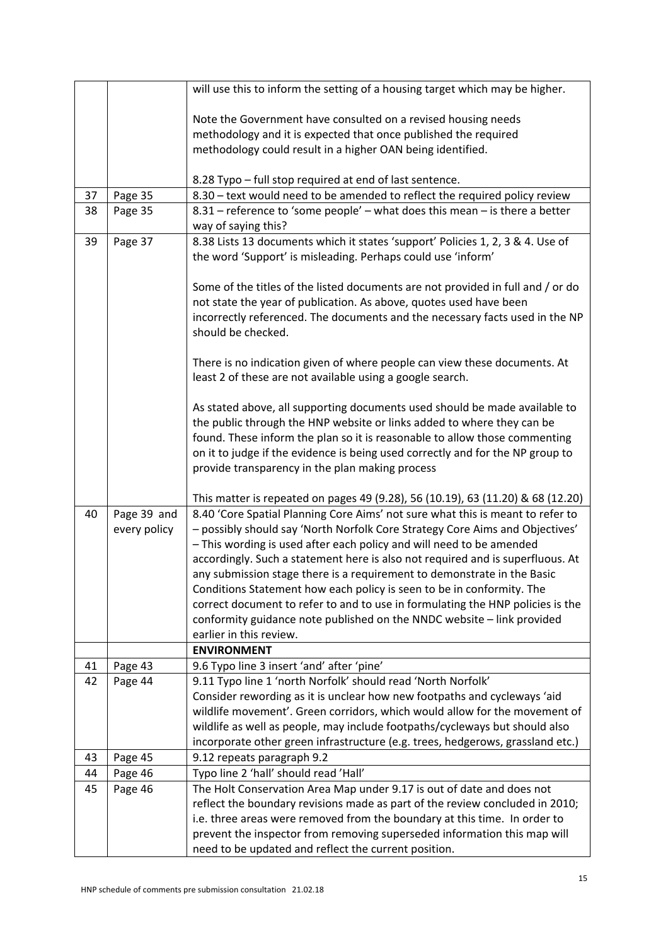|    |              | will use this to inform the setting of a housing target which may be higher.                       |
|----|--------------|----------------------------------------------------------------------------------------------------|
|    |              |                                                                                                    |
|    |              | Note the Government have consulted on a revised housing needs                                      |
|    |              | methodology and it is expected that once published the required                                    |
|    |              | methodology could result in a higher OAN being identified.                                         |
|    |              |                                                                                                    |
|    |              | 8.28 Typo – full stop required at end of last sentence.                                            |
| 37 | Page 35      | 8.30 - text would need to be amended to reflect the required policy review                         |
| 38 | Page 35      | 8.31 - reference to 'some people' - what does this mean - is there a better                        |
|    |              | way of saying this?                                                                                |
| 39 | Page 37      | 8.38 Lists 13 documents which it states 'support' Policies 1, 2, 3 & 4. Use of                     |
|    |              | the word 'Support' is misleading. Perhaps could use 'inform'                                       |
|    |              |                                                                                                    |
|    |              | Some of the titles of the listed documents are not provided in full and / or do                    |
|    |              | not state the year of publication. As above, quotes used have been                                 |
|    |              | incorrectly referenced. The documents and the necessary facts used in the NP<br>should be checked. |
|    |              |                                                                                                    |
|    |              | There is no indication given of where people can view these documents. At                          |
|    |              | least 2 of these are not available using a google search.                                          |
|    |              |                                                                                                    |
|    |              | As stated above, all supporting documents used should be made available to                         |
|    |              | the public through the HNP website or links added to where they can be                             |
|    |              | found. These inform the plan so it is reasonable to allow those commenting                         |
|    |              | on it to judge if the evidence is being used correctly and for the NP group to                     |
|    |              | provide transparency in the plan making process                                                    |
|    |              |                                                                                                    |
|    |              | This matter is repeated on pages 49 (9.28), 56 (10.19), 63 (11.20) & 68 (12.20)                    |
| 40 | Page 39 and  | 8.40 'Core Spatial Planning Core Aims' not sure what this is meant to refer to                     |
|    | every policy | - possibly should say 'North Norfolk Core Strategy Core Aims and Objectives'                       |
|    |              | - This wording is used after each policy and will need to be amended                               |
|    |              | accordingly. Such a statement here is also not required and is superfluous. At                     |
|    |              | any submission stage there is a requirement to demonstrate in the Basic                            |
|    |              | Conditions Statement how each policy is seen to be in conformity. The                              |
|    |              | correct document to refer to and to use in formulating the HNP policies is the                     |
|    |              | conformity guidance note published on the NNDC website - link provided                             |
|    |              | earlier in this review.                                                                            |
|    |              | <b>ENVIRONMENT</b>                                                                                 |
| 41 | Page 43      | 9.6 Typo line 3 insert 'and' after 'pine'                                                          |
| 42 | Page 44      | 9.11 Typo line 1 'north Norfolk' should read 'North Norfolk'                                       |
|    |              | Consider rewording as it is unclear how new footpaths and cycleways 'aid                           |
|    |              | wildlife movement'. Green corridors, which would allow for the movement of                         |
|    |              | wildlife as well as people, may include footpaths/cycleways but should also                        |
|    |              | incorporate other green infrastructure (e.g. trees, hedgerows, grassland etc.)                     |
| 43 | Page 45      | 9.12 repeats paragraph 9.2                                                                         |
| 44 | Page 46      | Typo line 2 'hall' should read 'Hall'                                                              |
| 45 | Page 46      | The Holt Conservation Area Map under 9.17 is out of date and does not                              |
|    |              | reflect the boundary revisions made as part of the review concluded in 2010;                       |
|    |              | i.e. three areas were removed from the boundary at this time. In order to                          |
|    |              | prevent the inspector from removing superseded information this map will                           |
|    |              | need to be updated and reflect the current position.                                               |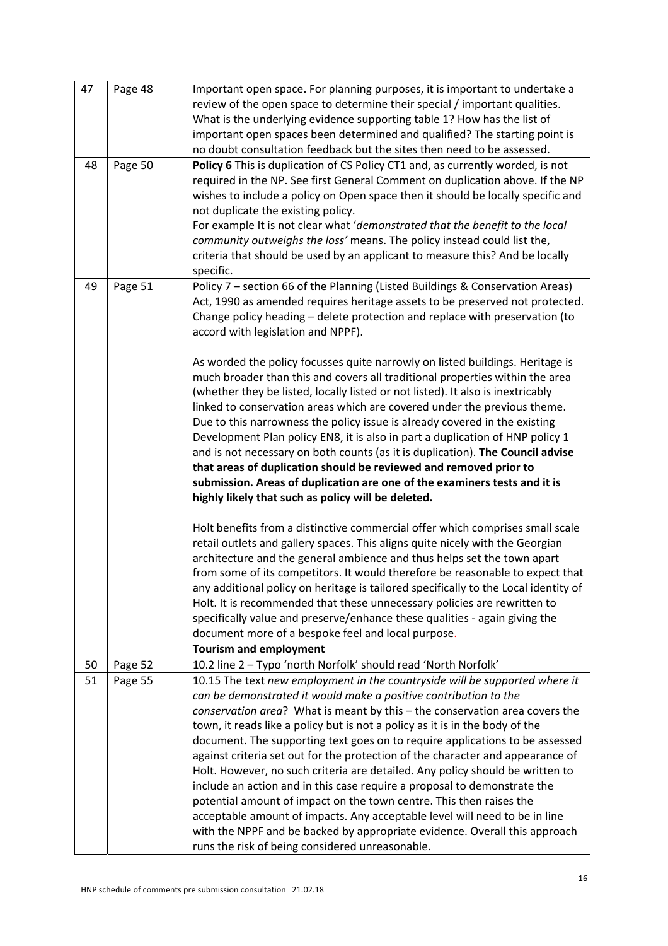| 47 | Page 48 | Important open space. For planning purposes, it is important to undertake a<br>review of the open space to determine their special / important qualities.<br>What is the underlying evidence supporting table 1? How has the list of<br>important open spaces been determined and qualified? The starting point is<br>no doubt consultation feedback but the sites then need to be assessed.                                                                                                                                                                                                                                                                                                                                                                                                                                                                                                                                                                                                                                                                                                                                                                                                                                                                                                                                                                                                                                                                                                                                                                                                                                                               |
|----|---------|------------------------------------------------------------------------------------------------------------------------------------------------------------------------------------------------------------------------------------------------------------------------------------------------------------------------------------------------------------------------------------------------------------------------------------------------------------------------------------------------------------------------------------------------------------------------------------------------------------------------------------------------------------------------------------------------------------------------------------------------------------------------------------------------------------------------------------------------------------------------------------------------------------------------------------------------------------------------------------------------------------------------------------------------------------------------------------------------------------------------------------------------------------------------------------------------------------------------------------------------------------------------------------------------------------------------------------------------------------------------------------------------------------------------------------------------------------------------------------------------------------------------------------------------------------------------------------------------------------------------------------------------------------|
| 48 | Page 50 | Policy 6 This is duplication of CS Policy CT1 and, as currently worded, is not<br>required in the NP. See first General Comment on duplication above. If the NP<br>wishes to include a policy on Open space then it should be locally specific and<br>not duplicate the existing policy.<br>For example It is not clear what 'demonstrated that the benefit to the local<br>community outweighs the loss' means. The policy instead could list the,<br>criteria that should be used by an applicant to measure this? And be locally<br>specific.                                                                                                                                                                                                                                                                                                                                                                                                                                                                                                                                                                                                                                                                                                                                                                                                                                                                                                                                                                                                                                                                                                           |
| 49 | Page 51 | Policy 7 - section 66 of the Planning (Listed Buildings & Conservation Areas)<br>Act, 1990 as amended requires heritage assets to be preserved not protected.<br>Change policy heading - delete protection and replace with preservation (to<br>accord with legislation and NPPF).<br>As worded the policy focusses quite narrowly on listed buildings. Heritage is<br>much broader than this and covers all traditional properties within the area<br>(whether they be listed, locally listed or not listed). It also is inextricably<br>linked to conservation areas which are covered under the previous theme.<br>Due to this narrowness the policy issue is already covered in the existing<br>Development Plan policy EN8, it is also in part a duplication of HNP policy 1<br>and is not necessary on both counts (as it is duplication). The Council advise<br>that areas of duplication should be reviewed and removed prior to<br>submission. Areas of duplication are one of the examiners tests and it is<br>highly likely that such as policy will be deleted.<br>Holt benefits from a distinctive commercial offer which comprises small scale<br>retail outlets and gallery spaces. This aligns quite nicely with the Georgian<br>architecture and the general ambience and thus helps set the town apart<br>from some of its competitors. It would therefore be reasonable to expect that<br>any additional policy on heritage is tailored specifically to the Local identity of<br>Holt. It is recommended that these unnecessary policies are rewritten to<br>specifically value and preserve/enhance these qualities - again giving the |
|    |         | document more of a bespoke feel and local purpose.<br><b>Tourism and employment</b>                                                                                                                                                                                                                                                                                                                                                                                                                                                                                                                                                                                                                                                                                                                                                                                                                                                                                                                                                                                                                                                                                                                                                                                                                                                                                                                                                                                                                                                                                                                                                                        |
| 50 | Page 52 | 10.2 line 2 - Typo 'north Norfolk' should read 'North Norfolk'                                                                                                                                                                                                                                                                                                                                                                                                                                                                                                                                                                                                                                                                                                                                                                                                                                                                                                                                                                                                                                                                                                                                                                                                                                                                                                                                                                                                                                                                                                                                                                                             |
| 51 | Page 55 | 10.15 The text new employment in the countryside will be supported where it<br>can be demonstrated it would make a positive contribution to the<br>conservation area? What is meant by this - the conservation area covers the<br>town, it reads like a policy but is not a policy as it is in the body of the<br>document. The supporting text goes on to require applications to be assessed<br>against criteria set out for the protection of the character and appearance of<br>Holt. However, no such criteria are detailed. Any policy should be written to<br>include an action and in this case require a proposal to demonstrate the<br>potential amount of impact on the town centre. This then raises the<br>acceptable amount of impacts. Any acceptable level will need to be in line<br>with the NPPF and be backed by appropriate evidence. Overall this approach<br>runs the risk of being considered unreasonable.                                                                                                                                                                                                                                                                                                                                                                                                                                                                                                                                                                                                                                                                                                                        |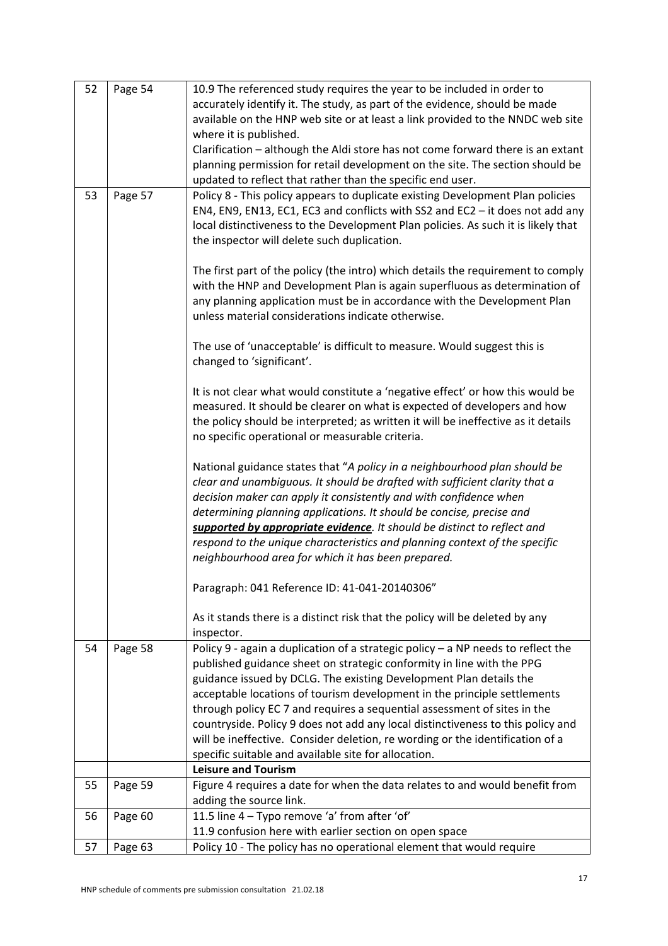| 52 | Page 54 | 10.9 The referenced study requires the year to be included in order to             |
|----|---------|------------------------------------------------------------------------------------|
|    |         | accurately identify it. The study, as part of the evidence, should be made         |
|    |         | available on the HNP web site or at least a link provided to the NNDC web site     |
|    |         | where it is published.                                                             |
|    |         | Clarification - although the Aldi store has not come forward there is an extant    |
|    |         | planning permission for retail development on the site. The section should be      |
|    |         | updated to reflect that rather than the specific end user.                         |
| 53 | Page 57 | Policy 8 - This policy appears to duplicate existing Development Plan policies     |
|    |         | EN4, EN9, EN13, EC1, EC3 and conflicts with SS2 and EC2 - it does not add any      |
|    |         | local distinctiveness to the Development Plan policies. As such it is likely that  |
|    |         | the inspector will delete such duplication.                                        |
|    |         | The first part of the policy (the intro) which details the requirement to comply   |
|    |         | with the HNP and Development Plan is again superfluous as determination of         |
|    |         | any planning application must be in accordance with the Development Plan           |
|    |         | unless material considerations indicate otherwise.                                 |
|    |         |                                                                                    |
|    |         | The use of 'unacceptable' is difficult to measure. Would suggest this is           |
|    |         | changed to 'significant'.                                                          |
|    |         |                                                                                    |
|    |         | It is not clear what would constitute a 'negative effect' or how this would be     |
|    |         | measured. It should be clearer on what is expected of developers and how           |
|    |         | the policy should be interpreted; as written it will be ineffective as it details  |
|    |         | no specific operational or measurable criteria.                                    |
|    |         |                                                                                    |
|    |         | National guidance states that "A policy in a neighbourhood plan should be          |
|    |         | clear and unambiguous. It should be drafted with sufficient clarity that a         |
|    |         | decision maker can apply it consistently and with confidence when                  |
|    |         | determining planning applications. It should be concise, precise and               |
|    |         | supported by appropriate evidence. It should be distinct to reflect and            |
|    |         | respond to the unique characteristics and planning context of the specific         |
|    |         | neighbourhood area for which it has been prepared.                                 |
|    |         | Paragraph: 041 Reference ID: 41-041-20140306"                                      |
|    |         |                                                                                    |
|    |         | As it stands there is a distinct risk that the policy will be deleted by any       |
|    |         | inspector.                                                                         |
| 54 | Page 58 | Policy 9 - again a duplication of a strategic policy $-$ a NP needs to reflect the |
|    |         | published guidance sheet on strategic conformity in line with the PPG              |
|    |         | guidance issued by DCLG. The existing Development Plan details the                 |
|    |         | acceptable locations of tourism development in the principle settlements           |
|    |         | through policy EC 7 and requires a sequential assessment of sites in the           |
|    |         | countryside. Policy 9 does not add any local distinctiveness to this policy and    |
|    |         | will be ineffective. Consider deletion, re wording or the identification of a      |
|    |         | specific suitable and available site for allocation.                               |
|    |         | <b>Leisure and Tourism</b>                                                         |
| 55 | Page 59 | Figure 4 requires a date for when the data relates to and would benefit from       |
|    |         | adding the source link.                                                            |
| 56 | Page 60 | 11.5 line 4 - Typo remove 'a' from after 'of'                                      |
|    |         | 11.9 confusion here with earlier section on open space                             |
| 57 | Page 63 | Policy 10 - The policy has no operational element that would require               |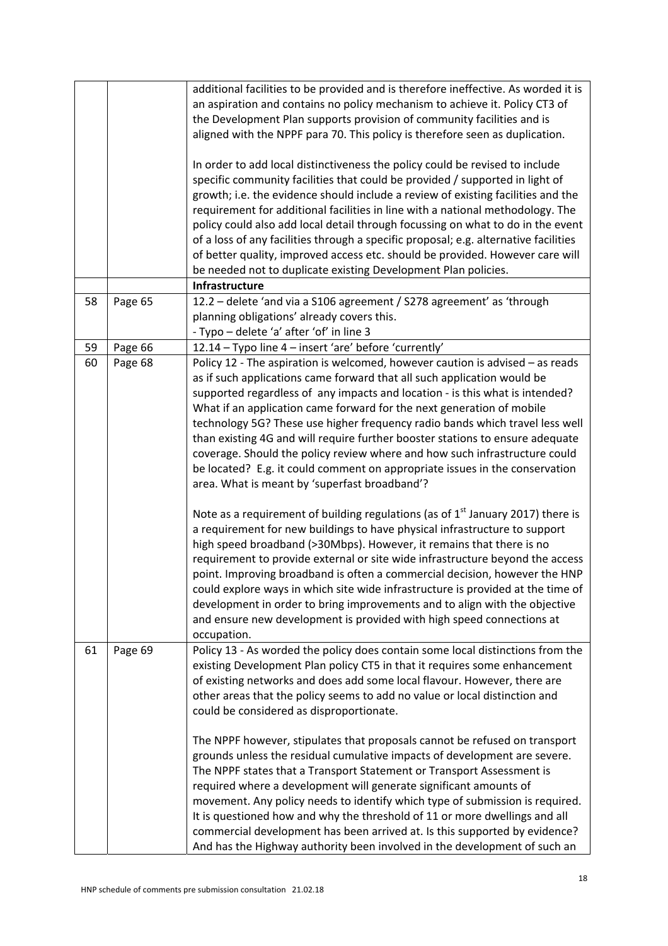|    |         | additional facilities to be provided and is therefore ineffective. As worded it is<br>an aspiration and contains no policy mechanism to achieve it. Policy CT3 of<br>the Development Plan supports provision of community facilities and is<br>aligned with the NPPF para 70. This policy is therefore seen as duplication.<br>In order to add local distinctiveness the policy could be revised to include<br>specific community facilities that could be provided / supported in light of<br>growth; i.e. the evidence should include a review of existing facilities and the<br>requirement for additional facilities in line with a national methodology. The<br>policy could also add local detail through focussing on what to do in the event<br>of a loss of any facilities through a specific proposal; e.g. alternative facilities<br>of better quality, improved access etc. should be provided. However care will<br>be needed not to duplicate existing Development Plan policies.                                                                                                                                                                                                                                                                                                                                                                       |
|----|---------|-----------------------------------------------------------------------------------------------------------------------------------------------------------------------------------------------------------------------------------------------------------------------------------------------------------------------------------------------------------------------------------------------------------------------------------------------------------------------------------------------------------------------------------------------------------------------------------------------------------------------------------------------------------------------------------------------------------------------------------------------------------------------------------------------------------------------------------------------------------------------------------------------------------------------------------------------------------------------------------------------------------------------------------------------------------------------------------------------------------------------------------------------------------------------------------------------------------------------------------------------------------------------------------------------------------------------------------------------------------------------|
| 58 | Page 65 | Infrastructure<br>12.2 - delete 'and via a S106 agreement / S278 agreement' as 'through                                                                                                                                                                                                                                                                                                                                                                                                                                                                                                                                                                                                                                                                                                                                                                                                                                                                                                                                                                                                                                                                                                                                                                                                                                                                               |
|    |         | planning obligations' already covers this.                                                                                                                                                                                                                                                                                                                                                                                                                                                                                                                                                                                                                                                                                                                                                                                                                                                                                                                                                                                                                                                                                                                                                                                                                                                                                                                            |
|    |         | - Typo - delete 'a' after 'of' in line 3                                                                                                                                                                                                                                                                                                                                                                                                                                                                                                                                                                                                                                                                                                                                                                                                                                                                                                                                                                                                                                                                                                                                                                                                                                                                                                                              |
| 59 | Page 66 | 12.14 - Typo line 4 - insert 'are' before 'currently'                                                                                                                                                                                                                                                                                                                                                                                                                                                                                                                                                                                                                                                                                                                                                                                                                                                                                                                                                                                                                                                                                                                                                                                                                                                                                                                 |
| 60 | Page 68 | Policy 12 - The aspiration is welcomed, however caution is advised $-$ as reads<br>as if such applications came forward that all such application would be<br>supported regardless of any impacts and location - is this what is intended?<br>What if an application came forward for the next generation of mobile<br>technology 5G? These use higher frequency radio bands which travel less well<br>than existing 4G and will require further booster stations to ensure adequate<br>coverage. Should the policy review where and how such infrastructure could<br>be located? E.g. it could comment on appropriate issues in the conservation<br>area. What is meant by 'superfast broadband'?<br>Note as a requirement of building regulations (as of $1st$ January 2017) there is<br>a requirement for new buildings to have physical infrastructure to support<br>high speed broadband (>30Mbps). However, it remains that there is no<br>requirement to provide external or site wide infrastructure beyond the access<br>point. Improving broadband is often a commercial decision, however the HNP<br>could explore ways in which site wide infrastructure is provided at the time of<br>development in order to bring improvements and to align with the objective<br>and ensure new development is provided with high speed connections at<br>occupation. |
| 61 | Page 69 | Policy 13 - As worded the policy does contain some local distinctions from the<br>existing Development Plan policy CT5 in that it requires some enhancement<br>of existing networks and does add some local flavour. However, there are<br>other areas that the policy seems to add no value or local distinction and<br>could be considered as disproportionate.<br>The NPPF however, stipulates that proposals cannot be refused on transport<br>grounds unless the residual cumulative impacts of development are severe.<br>The NPPF states that a Transport Statement or Transport Assessment is<br>required where a development will generate significant amounts of<br>movement. Any policy needs to identify which type of submission is required.<br>It is questioned how and why the threshold of 11 or more dwellings and all<br>commercial development has been arrived at. Is this supported by evidence?<br>And has the Highway authority been involved in the development of such an                                                                                                                                                                                                                                                                                                                                                                   |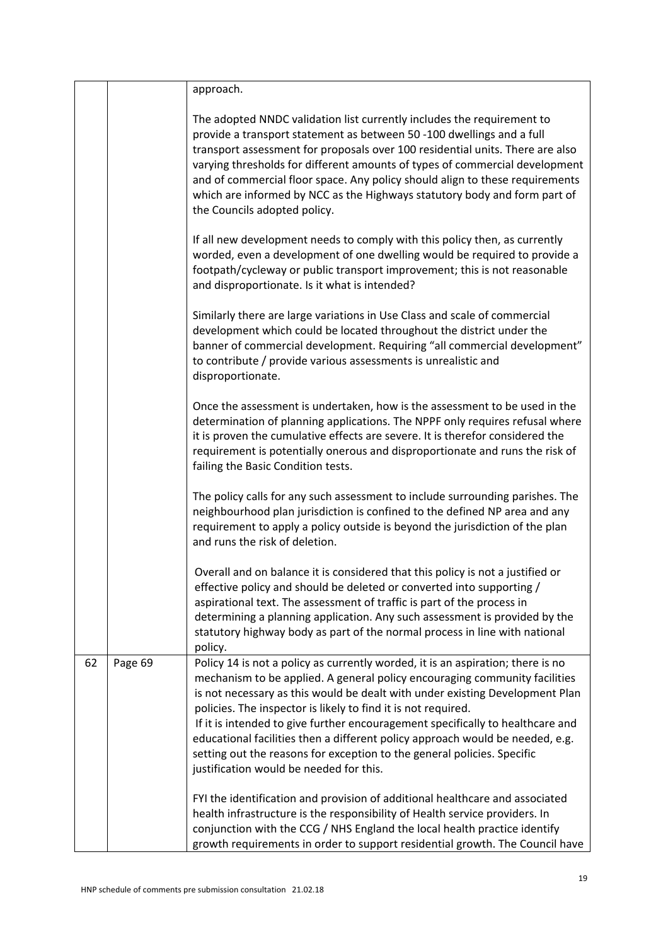|    |         | approach.                                                                                                                                                                                                                                                                                                                                                                                                                                                                                                                                                                                               |
|----|---------|---------------------------------------------------------------------------------------------------------------------------------------------------------------------------------------------------------------------------------------------------------------------------------------------------------------------------------------------------------------------------------------------------------------------------------------------------------------------------------------------------------------------------------------------------------------------------------------------------------|
|    |         | The adopted NNDC validation list currently includes the requirement to<br>provide a transport statement as between 50 -100 dwellings and a full<br>transport assessment for proposals over 100 residential units. There are also<br>varying thresholds for different amounts of types of commercial development<br>and of commercial floor space. Any policy should align to these requirements<br>which are informed by NCC as the Highways statutory body and form part of<br>the Councils adopted policy.                                                                                            |
|    |         | If all new development needs to comply with this policy then, as currently<br>worded, even a development of one dwelling would be required to provide a<br>footpath/cycleway or public transport improvement; this is not reasonable<br>and disproportionate. Is it what is intended?                                                                                                                                                                                                                                                                                                                   |
|    |         | Similarly there are large variations in Use Class and scale of commercial<br>development which could be located throughout the district under the<br>banner of commercial development. Requiring "all commercial development"<br>to contribute / provide various assessments is unrealistic and<br>disproportionate.                                                                                                                                                                                                                                                                                    |
|    |         | Once the assessment is undertaken, how is the assessment to be used in the<br>determination of planning applications. The NPPF only requires refusal where<br>it is proven the cumulative effects are severe. It is therefor considered the<br>requirement is potentially onerous and disproportionate and runs the risk of<br>failing the Basic Condition tests.                                                                                                                                                                                                                                       |
|    |         | The policy calls for any such assessment to include surrounding parishes. The<br>neighbourhood plan jurisdiction is confined to the defined NP area and any<br>requirement to apply a policy outside is beyond the jurisdiction of the plan<br>and runs the risk of deletion.                                                                                                                                                                                                                                                                                                                           |
|    |         | Overall and on balance it is considered that this policy is not a justified or<br>effective policy and should be deleted or converted into supporting /<br>aspirational text. The assessment of traffic is part of the process in<br>determining a planning application. Any such assessment is provided by the<br>statutory highway body as part of the normal process in line with national<br>policy.                                                                                                                                                                                                |
| 62 | Page 69 | Policy 14 is not a policy as currently worded, it is an aspiration; there is no<br>mechanism to be applied. A general policy encouraging community facilities<br>is not necessary as this would be dealt with under existing Development Plan<br>policies. The inspector is likely to find it is not required.<br>If it is intended to give further encouragement specifically to healthcare and<br>educational facilities then a different policy approach would be needed, e.g.<br>setting out the reasons for exception to the general policies. Specific<br>justification would be needed for this. |
|    |         | FYI the identification and provision of additional healthcare and associated<br>health infrastructure is the responsibility of Health service providers. In<br>conjunction with the CCG / NHS England the local health practice identify<br>growth requirements in order to support residential growth. The Council have                                                                                                                                                                                                                                                                                |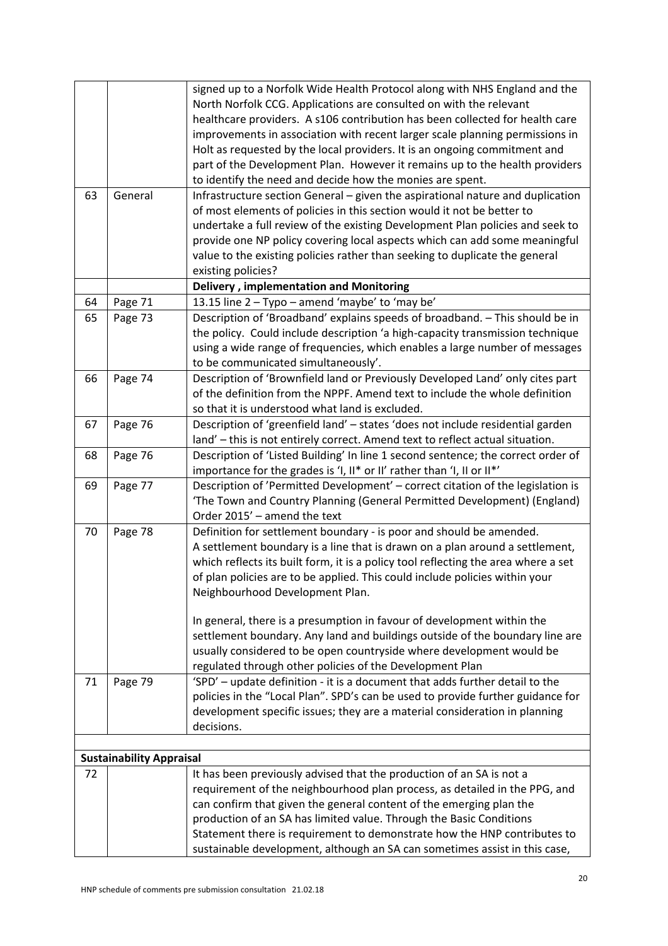|    |                                 | signed up to a Norfolk Wide Health Protocol along with NHS England and the         |
|----|---------------------------------|------------------------------------------------------------------------------------|
|    |                                 | North Norfolk CCG. Applications are consulted on with the relevant                 |
|    |                                 | healthcare providers. A s106 contribution has been collected for health care       |
|    |                                 | improvements in association with recent larger scale planning permissions in       |
|    |                                 | Holt as requested by the local providers. It is an ongoing commitment and          |
|    |                                 | part of the Development Plan. However it remains up to the health providers        |
|    |                                 | to identify the need and decide how the monies are spent.                          |
| 63 | General                         | Infrastructure section General - given the aspirational nature and duplication     |
|    |                                 | of most elements of policies in this section would it not be better to             |
|    |                                 | undertake a full review of the existing Development Plan policies and seek to      |
|    |                                 | provide one NP policy covering local aspects which can add some meaningful         |
|    |                                 | value to the existing policies rather than seeking to duplicate the general        |
|    |                                 | existing policies?                                                                 |
|    |                                 | <b>Delivery, implementation and Monitoring</b>                                     |
| 64 | Page 71                         | 13.15 line 2 - Typo - amend 'maybe' to 'may be'                                    |
| 65 | Page 73                         | Description of 'Broadband' explains speeds of broadband. - This should be in       |
|    |                                 | the policy. Could include description 'a high-capacity transmission technique      |
|    |                                 | using a wide range of frequencies, which enables a large number of messages        |
|    |                                 | to be communicated simultaneously'.                                                |
| 66 | Page 74                         | Description of 'Brownfield land or Previously Developed Land' only cites part      |
|    |                                 | of the definition from the NPPF. Amend text to include the whole definition        |
|    |                                 | so that it is understood what land is excluded.                                    |
| 67 | Page 76                         | Description of 'greenfield land' - states 'does not include residential garden     |
|    |                                 | land' - this is not entirely correct. Amend text to reflect actual situation.      |
| 68 | Page 76                         | Description of 'Listed Building' In line 1 second sentence; the correct order of   |
|    |                                 | importance for the grades is 'I, II* or II' rather than 'I, II or II*'             |
| 69 | Page 77                         | Description of 'Permitted Development' - correct citation of the legislation is    |
|    |                                 | 'The Town and Country Planning (General Permitted Development) (England)           |
|    |                                 | Order 2015' - amend the text                                                       |
| 70 | Page 78                         | Definition for settlement boundary - is poor and should be amended.                |
|    |                                 | A settlement boundary is a line that is drawn on a plan around a settlement,       |
|    |                                 | which reflects its built form, it is a policy tool reflecting the area where a set |
|    |                                 | of plan policies are to be applied. This could include policies within your        |
|    |                                 | Neighbourhood Development Plan.                                                    |
|    |                                 |                                                                                    |
|    |                                 | In general, there is a presumption in favour of development within the             |
|    |                                 | settlement boundary. Any land and buildings outside of the boundary line are       |
|    |                                 | usually considered to be open countryside where development would be               |
|    |                                 | regulated through other policies of the Development Plan                           |
| 71 | Page 79                         | 'SPD' - update definition - it is a document that adds further detail to the       |
|    |                                 | policies in the "Local Plan". SPD's can be used to provide further guidance for    |
|    |                                 | development specific issues; they are a material consideration in planning         |
|    |                                 | decisions.                                                                         |
|    |                                 |                                                                                    |
|    | <b>Sustainability Appraisal</b> |                                                                                    |
| 72 |                                 | It has been previously advised that the production of an SA is not a               |
|    |                                 | requirement of the neighbourhood plan process, as detailed in the PPG, and         |
|    |                                 | can confirm that given the general content of the emerging plan the                |
|    |                                 | production of an SA has limited value. Through the Basic Conditions                |
|    |                                 | Statement there is requirement to demonstrate how the HNP contributes to           |
|    |                                 | sustainable development, although an SA can sometimes assist in this case,         |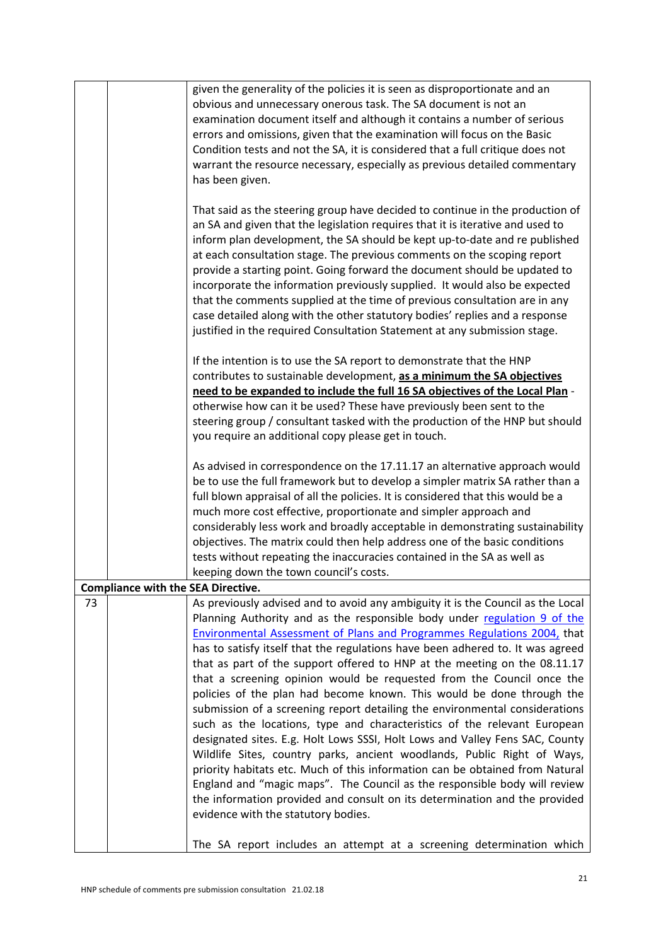|    |                                           | given the generality of the policies it is seen as disproportionate and an<br>obvious and unnecessary onerous task. The SA document is not an<br>examination document itself and although it contains a number of serious<br>errors and omissions, given that the examination will focus on the Basic<br>Condition tests and not the SA, it is considered that a full critique does not<br>warrant the resource necessary, especially as previous detailed commentary<br>has been given.                                                                                                                                                                                                                                                                                                                                                                                                                                                                                                                                                                                                                                                                        |
|----|-------------------------------------------|-----------------------------------------------------------------------------------------------------------------------------------------------------------------------------------------------------------------------------------------------------------------------------------------------------------------------------------------------------------------------------------------------------------------------------------------------------------------------------------------------------------------------------------------------------------------------------------------------------------------------------------------------------------------------------------------------------------------------------------------------------------------------------------------------------------------------------------------------------------------------------------------------------------------------------------------------------------------------------------------------------------------------------------------------------------------------------------------------------------------------------------------------------------------|
|    |                                           | That said as the steering group have decided to continue in the production of<br>an SA and given that the legislation requires that it is iterative and used to<br>inform plan development, the SA should be kept up-to-date and re published<br>at each consultation stage. The previous comments on the scoping report<br>provide a starting point. Going forward the document should be updated to<br>incorporate the information previously supplied. It would also be expected<br>that the comments supplied at the time of previous consultation are in any<br>case detailed along with the other statutory bodies' replies and a response<br>justified in the required Consultation Statement at any submission stage.                                                                                                                                                                                                                                                                                                                                                                                                                                   |
|    |                                           | If the intention is to use the SA report to demonstrate that the HNP<br>contributes to sustainable development, as a minimum the SA objectives<br>need to be expanded to include the full 16 SA objectives of the Local Plan -<br>otherwise how can it be used? These have previously been sent to the<br>steering group / consultant tasked with the production of the HNP but should<br>you require an additional copy please get in touch.                                                                                                                                                                                                                                                                                                                                                                                                                                                                                                                                                                                                                                                                                                                   |
|    |                                           | As advised in correspondence on the 17.11.17 an alternative approach would<br>be to use the full framework but to develop a simpler matrix SA rather than a<br>full blown appraisal of all the policies. It is considered that this would be a<br>much more cost effective, proportionate and simpler approach and<br>considerably less work and broadly acceptable in demonstrating sustainability<br>objectives. The matrix could then help address one of the basic conditions<br>tests without repeating the inaccuracies contained in the SA as well as<br>keeping down the town council's costs.                                                                                                                                                                                                                                                                                                                                                                                                                                                                                                                                                          |
|    | <b>Compliance with the SEA Directive.</b> |                                                                                                                                                                                                                                                                                                                                                                                                                                                                                                                                                                                                                                                                                                                                                                                                                                                                                                                                                                                                                                                                                                                                                                 |
| 73 |                                           | As previously advised and to avoid any ambiguity it is the Council as the Local<br>Planning Authority and as the responsible body under regulation 9 of the<br>Environmental Assessment of Plans and Programmes Regulations 2004, that<br>has to satisfy itself that the regulations have been adhered to. It was agreed<br>that as part of the support offered to HNP at the meeting on the 08.11.17<br>that a screening opinion would be requested from the Council once the<br>policies of the plan had become known. This would be done through the<br>submission of a screening report detailing the environmental considerations<br>such as the locations, type and characteristics of the relevant European<br>designated sites. E.g. Holt Lows SSSI, Holt Lows and Valley Fens SAC, County<br>Wildlife Sites, country parks, ancient woodlands, Public Right of Ways,<br>priority habitats etc. Much of this information can be obtained from Natural<br>England and "magic maps". The Council as the responsible body will review<br>the information provided and consult on its determination and the provided<br>evidence with the statutory bodies. |
|    |                                           | The SA report includes an attempt at a screening determination which                                                                                                                                                                                                                                                                                                                                                                                                                                                                                                                                                                                                                                                                                                                                                                                                                                                                                                                                                                                                                                                                                            |